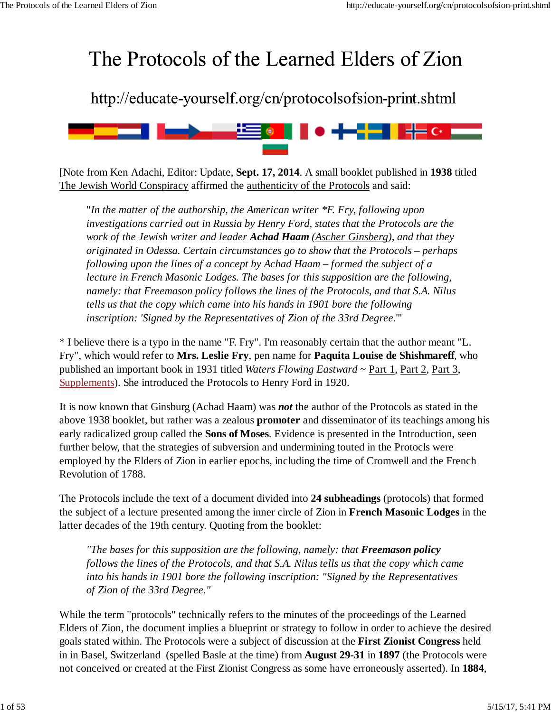# The Protocols of the Learned Elders of Zion

http://educate-yourself.org/cn/protocolsofsion-print.shtml



[Note from Ken Adachi, Editor: Update, **Sept. 17, 2014**. A small booklet published in **1938** titled The Jewish World Conspiracy affirmed the authenticity of the Protocols and said:

"*In the matter of the authorship, the American writer \*F. Fry, following upon investigations carried out in Russia by Henry Ford, states that the Protocols are the work of the Jewish writer and leader Achad Haam (Ascher Ginsberg), and that they originated in Odessa. Certain circumstances go to show that the Protocols – perhaps following upon the lines of a concept by Achad Haam – formed the subject of a lecture in French Masonic Lodges. The bases for this supposition are the following, namely: that Freemason policy follows the lines of the Protocols, and that S.A. Nilus tells us that the copy which came into his hands in 1901 bore the following inscription: 'Signed by the Representatives of Zion of the 33rd Degree.*'"

\* I believe there is a typo in the name "F. Fry". I'm reasonably certain that the author meant "L. Fry", which would refer to **Mrs. Leslie Fry**, pen name for **Paquita Louise de Shishmareff**, who published an important book in 1931 titled *Waters Flowing Eastward* ~ Part 1, Part 2, Part 3, Supplements). She introduced the Protocols to Henry Ford in 1920.

It is now known that Ginsburg (Achad Haam) was *not* the author of the Protocols as stated in the above 1938 booklet, but rather was a zealous **promoter** and disseminator of its teachings among his early radicalized group called the **Sons of Moses**. Evidence is presented in the Introduction, seen further below, that the strategies of subversion and undermining touted in the Protocls were employed by the Elders of Zion in earlier epochs, including the time of Cromwell and the French Revolution of 1788.

The Protocols include the text of a document divided into **24 subheadings** (protocols) that formed the subject of a lecture presented among the inner circle of Zion in **French Masonic Lodges** in the latter decades of the 19th century. Quoting from the booklet:

*"The bases for this supposition are the following, namely: that Freemason policy follows the lines of the Protocols, and that S.A. Nilus tells us that the copy which came into his hands in 1901 bore the following inscription: "Signed by the Representatives of Zion of the 33rd Degree."*

While the term "protocols" technically refers to the minutes of the proceedings of the Learned Elders of Zion, the document implies a blueprint or strategy to follow in order to achieve the desired goals stated within. The Protocols were a subject of discussion at the **First Zionist Congress** held in in Basel, Switzerland (spelled Basle at the time) from **August 29-31** in **1897** (the Protocols were not conceived or created at the First Zionist Congress as some have erroneously asserted). In **1884**,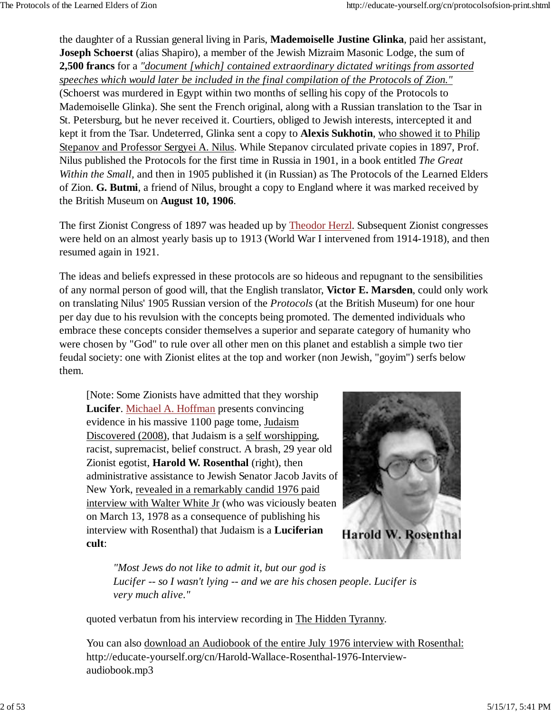the daughter of a Russian general living in Paris, **Mademoiselle Justine Glinka**, paid her assistant, **Joseph Schoerst** (alias Shapiro), a member of the Jewish Mizraim Masonic Lodge, the sum of **2,500 francs** for a *"document [which] contained extraordinary dictated writings from assorted speeches which would later be included in the final compilation of the Protocols of Zion."* (Schoerst was murdered in Egypt within two months of selling his copy of the Protocols to Mademoiselle Glinka). She sent the French original, along with a Russian translation to the Tsar in St. Petersburg, but he never received it. Courtiers, obliged to Jewish interests, intercepted it and kept it from the Tsar. Undeterred, Glinka sent a copy to **Alexis Sukhotin**, who showed it to Philip Stepanov and Professor Sergyei A. Nilus. While Stepanov circulated private copies in 1897, Prof. Nilus published the Protocols for the first time in Russia in 1901, in a book entitled *The Great Within the Small,* and then in 1905 published it (in Russian) as The Protocols of the Learned Elders of Zion. **G. Butmi**, a friend of Nilus, brought a copy to England where it was marked received by the British Museum on **August 10, 1906**.

The first Zionist Congress of 1897 was headed up by Theodor Herzl. Subsequent Zionist congresses were held on an almost yearly basis up to 1913 (World War I intervened from 1914-1918), and then resumed again in 1921.

The ideas and beliefs expressed in these protocols are so hideous and repugnant to the sensibilities of any normal person of good will, that the English translator, **Victor E. Marsden**, could only work on translating Nilus' 1905 Russian version of the *Protocols* (at the British Museum) for one hour per day due to his revulsion with the concepts being promoted. The demented individuals who embrace these concepts consider themselves a superior and separate category of humanity who were chosen by "God" to rule over all other men on this planet and establish a simple two tier feudal society: one with Zionist elites at the top and worker (non Jewish, "goyim") serfs below them.

[Note: Some Zionists have admitted that they worship **Lucifer**. Michael A. Hoffman presents convincing evidence in his massive 1100 page tome, Judaism Discovered (2008), that Judaism is a self worshipping, racist, supremacist, belief construct. A brash, 29 year old Zionist egotist, **Harold W. Rosenthal** (right), then administrative assistance to Jewish Senator Jacob Javits of New York, revealed in a remarkably candid 1976 paid interview with Walter White Jr (who was viciously beaten on March 13, 1978 as a consequence of publishing his interview with Rosenthal) that Judaism is a **Luciferian cult**:



*"Most Jews do not like to admit it, but our god is Lucifer -- so I wasn't lying -- and we are his chosen people. Lucifer is very much alive."*

quoted verbatun from his interview recording in The Hidden Tyranny.

You can also download an Audiobook of the entire July 1976 interview with Rosenthal: http://educate-yourself.org/cn/Harold-Wallace-Rosenthal-1976-Interviewaudiobook.mp3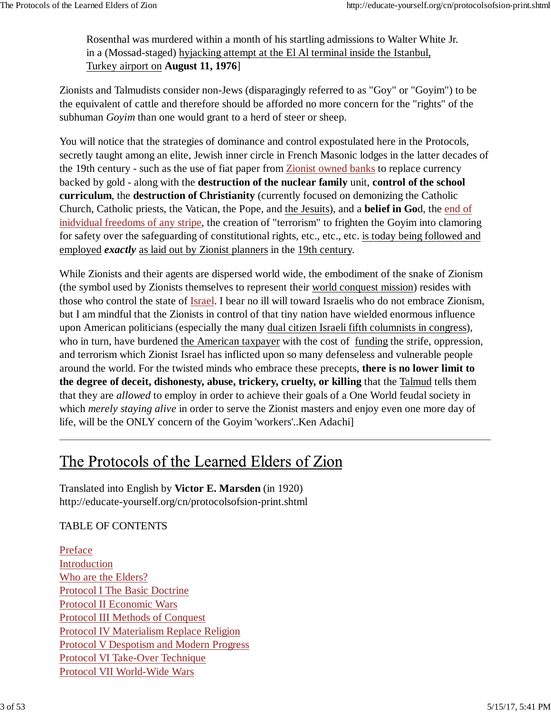Rosenthal was murdered within a month of his startling admissions to Walter White Jr. in a (Mossad-staged) hyjacking attempt at the El Al terminal inside the Istanbul, Turkey airport on **August 11, 1976**]

Zionists and Talmudists consider non-Jews (disparagingly referred to as "Goy" or "Goyim") to be the equivalent of cattle and therefore should be afforded no more concern for the "rights" of the subhuman *Goyim* than one would grant to a herd of steer or sheep.

You will notice that the strategies of dominance and control expostulated here in the Protocols, secretly taught among an elite, Jewish inner circle in French Masonic lodges in the latter decades of the 19th century - such as the use of fiat paper from Zionist owned banks to replace currency backed by gold - along with the **destruction of the nuclear family** unit, **control of the school curriculum**, the **destruction of Christianity** (currently focused on demonizing the Catholic Church, Catholic priests, the Vatican, the Pope, and the Jesuits), and a **belief in Go**d, the end of inidvidual freedoms of any stripe, the creation of "terrorism" to frighten the Goyim into clamoring for safety over the safeguarding of constitutional rights, etc., etc., etc. is today being followed and employed *exactly* as laid out by Zionist planners in the 19th century.

While Zionists and their agents are dispersed world wide, the embodiment of the snake of Zionism (the symbol used by Zionists themselves to represent their world conquest mission) resides with those who control the state of Israel. I bear no ill will toward Israelis who do not embrace Zionism, but I am mindful that the Zionists in control of that tiny nation have wielded enormous influence upon American politicians (especially the many dual citizen Israeli fifth columnists in congress), who in turn, have burdened the American taxpayer with the cost of funding the strife, oppression, and terrorism which Zionist Israel has inflicted upon so many defenseless and vulnerable people around the world. For the twisted minds who embrace these precepts, **there is no lower limit to the degree of deceit, dishonesty, abuse, trickery, cruelty, or killing** that the Talmud tells them that they are *allowed* to employ in order to achieve their goals of a One World feudal society in which *merely staying alive* in order to serve the Zionist masters and enjoy even one more day of life, will be the ONLY concern of the Goyim 'workers'..Ken Adachi]

## The Protocols of the Learned Elders of Zion

Translated into English by **Victor E. Marsden** (in 1920) http://educate-yourself.org/cn/protocolsofsion-print.shtml

## TABLE OF CONTENTS

Preface Introduction Who are the Elders? Protocol I The Basic Doctrine Protocol II Economic Wars Protocol III Methods of Conquest Protocol IV Materialism Replace Religion Protocol V Despotism and Modern Progress Protocol VI Take-Over Technique Protocol VII World-Wide Wars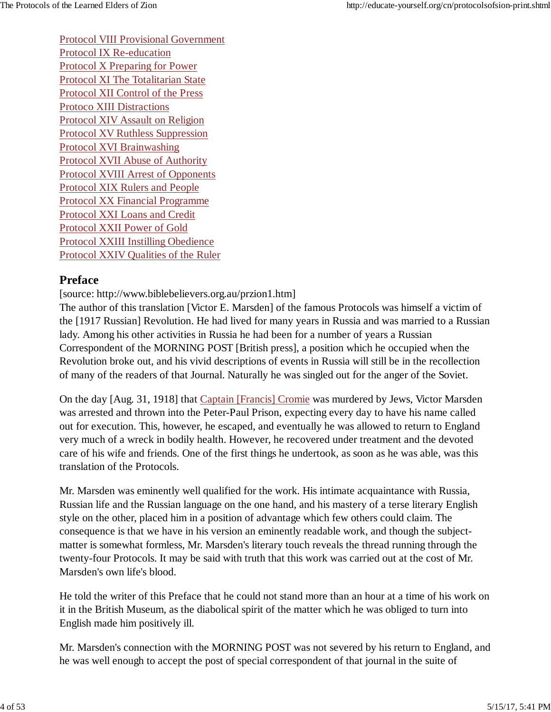Protocol VIII Provisional Government Protocol IX Re-education Protocol X Preparing for Power Protocol XI The Totalitarian State Protocol XII Control of the Press Protoco XIII Distractions Protocol XIV Assault on Religion Protocol XV Ruthless Suppression Protocol XVI Brainwashing Protocol XVII Abuse of Authority Protocol XVIII Arrest of Opponents Protocol XIX Rulers and People Protocol XX Financial Programme Protocol XXI Loans and Credit Protocol XXII Power of Gold Protocol XXIII Instilling Obedience Protocol XXIV Qualities of the Ruler

## **Preface**

[source: http://www.biblebelievers.org.au/przion1.htm]

The author of this translation [Victor E. Marsden] of the famous Protocols was himself a victim of the [1917 Russian] Revolution. He had lived for many years in Russia and was married to a Russian lady. Among his other activities in Russia he had been for a number of years a Russian Correspondent of the MORNING POST [British press], a position which he occupied when the Revolution broke out, and his vivid descriptions of events in Russia will still be in the recollection of many of the readers of that Journal. Naturally he was singled out for the anger of the Soviet.

On the day [Aug. 31, 1918] that Captain [Francis] Cromie was murdered by Jews, Victor Marsden was arrested and thrown into the Peter-Paul Prison, expecting every day to have his name called out for execution. This, however, he escaped, and eventually he was allowed to return to England very much of a wreck in bodily health. However, he recovered under treatment and the devoted care of his wife and friends. One of the first things he undertook, as soon as he was able, was this translation of the Protocols.

Mr. Marsden was eminently well qualified for the work. His intimate acquaintance with Russia, Russian life and the Russian language on the one hand, and his mastery of a terse literary English style on the other, placed him in a position of advantage which few others could claim. The consequence is that we have in his version an eminently readable work, and though the subjectmatter is somewhat formless, Mr. Marsden's literary touch reveals the thread running through the twenty-four Protocols. It may be said with truth that this work was carried out at the cost of Mr. Marsden's own life's blood.

He told the writer of this Preface that he could not stand more than an hour at a time of his work on it in the British Museum, as the diabolical spirit of the matter which he was obliged to turn into English made him positively ill.

Mr. Marsden's connection with the MORNING POST was not severed by his return to England, and he was well enough to accept the post of special correspondent of that journal in the suite of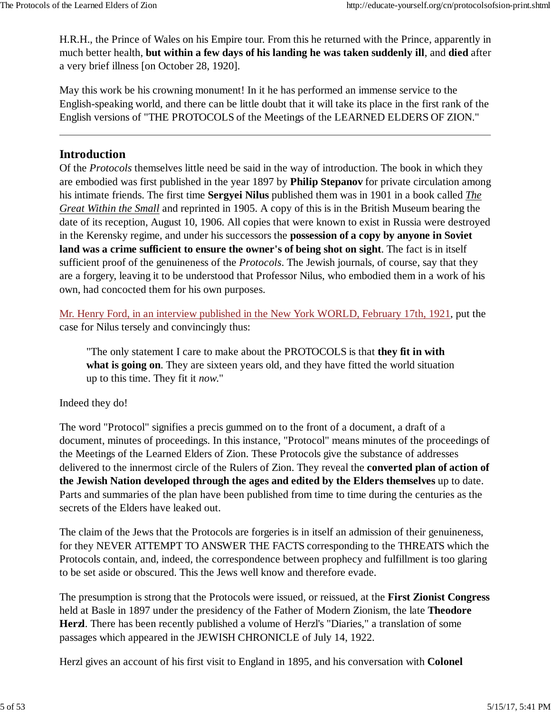H.R.H., the Prince of Wales on his Empire tour. From this he returned with the Prince, apparently in much better health, **but within a few days of his landing he was taken suddenly ill**, and **died** after a very brief illness [on October 28, 1920].

May this work be his crowning monument! In it he has performed an immense service to the English-speaking world, and there can be little doubt that it will take its place in the first rank of the English versions of "THE PROTOCOLS of the Meetings of the LEARNED ELDERS OF ZION."

## **Introduction**

Of the *Protocols* themselves little need be said in the way of introduction. The book in which they are embodied was first published in the year 1897 by **Philip Stepanov** for private circulation among his intimate friends. The first time **Sergyei Nilus** published them was in 1901 in a book called *The Great Within the Small* and reprinted in 1905. A copy of this is in the British Museum bearing the date of its reception, August 10, 1906. All copies that were known to exist in Russia were destroyed in the Kerensky regime, and under his successors the **possession of a copy by anyone in Soviet land was a crime sufficient to ensure the owner's of being shot on sight**. The fact is in itself sufficient proof of the genuineness of the *Protocols*. The Jewish journals, of course, say that they are a forgery, leaving it to be understood that Professor Nilus, who embodied them in a work of his own, had concocted them for his own purposes.

Mr. Henry Ford, in an interview published in the New York WORLD, February 17th, 1921, put the case for Nilus tersely and convincingly thus:

"The only statement I care to make about the PROTOCOLS is that **they fit in with what is going on**. They are sixteen years old, and they have fitted the world situation up to this time. They fit it *now*."

#### Indeed they do!

The word "Protocol" signifies a precis gummed on to the front of a document, a draft of a document, minutes of proceedings. In this instance, "Protocol" means minutes of the proceedings of the Meetings of the Learned Elders of Zion. These Protocols give the substance of addresses delivered to the innermost circle of the Rulers of Zion. They reveal the **converted plan of action of the Jewish Nation developed through the ages and edited by the Elders themselves** up to date. Parts and summaries of the plan have been published from time to time during the centuries as the secrets of the Elders have leaked out.

The claim of the Jews that the Protocols are forgeries is in itself an admission of their genuineness, for they NEVER ATTEMPT TO ANSWER THE FACTS corresponding to the THREATS which the Protocols contain, and, indeed, the correspondence between prophecy and fulfillment is too glaring to be set aside or obscured. This the Jews well know and therefore evade.

The presumption is strong that the Protocols were issued, or reissued, at the **First Zionist Congress** held at Basle in 1897 under the presidency of the Father of Modern Zionism, the late **Theodore Herzl**. There has been recently published a volume of Herzl's "Diaries," a translation of some passages which appeared in the JEWISH CHRONICLE of July 14, 1922.

Herzl gives an account of his first visit to England in 1895, and his conversation with **Colonel**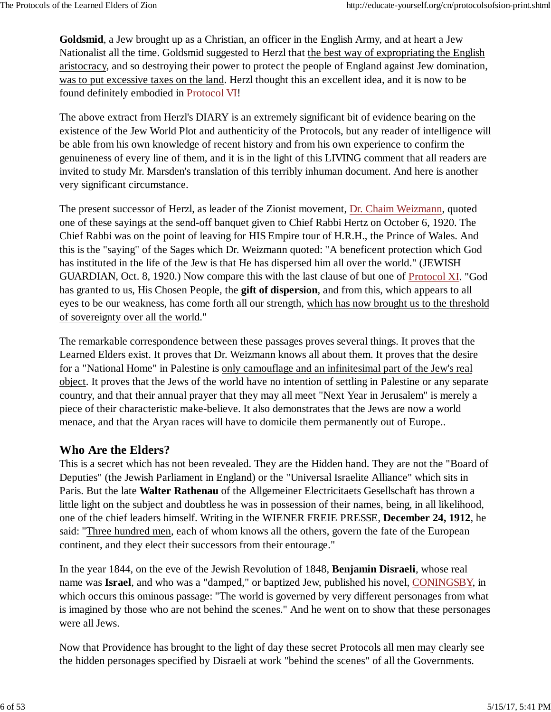**Goldsmid**, a Jew brought up as a Christian, an officer in the English Army, and at heart a Jew Nationalist all the time. Goldsmid suggested to Herzl that the best way of expropriating the English aristocracy, and so destroying their power to protect the people of England against Jew domination, was to put excessive taxes on the land. Herzl thought this an excellent idea, and it is now to be found definitely embodied in Protocol VI!

The above extract from Herzl's DIARY is an extremely significant bit of evidence bearing on the existence of the Jew World Plot and authenticity of the Protocols, but any reader of intelligence will be able from his own knowledge of recent history and from his own experience to confirm the genuineness of every line of them, and it is in the light of this LIVING comment that all readers are invited to study Mr. Marsden's translation of this terribly inhuman document. And here is another very significant circumstance.

The present successor of Herzl, as leader of the Zionist movement, Dr. Chaim Weizmann, quoted one of these sayings at the send-off banquet given to Chief Rabbi Hertz on October 6, 1920. The Chief Rabbi was on the point of leaving for HIS Empire tour of H.R.H., the Prince of Wales. And this is the "saying" of the Sages which Dr. Weizmann quoted: "A beneficent protection which God has instituted in the life of the Jew is that He has dispersed him all over the world." (JEWISH GUARDIAN, Oct. 8, 1920.) Now compare this with the last clause of but one of Protocol XI. "God has granted to us, His Chosen People, the **gift of dispersion**, and from this, which appears to all eyes to be our weakness, has come forth all our strength, which has now brought us to the threshold of sovereignty over all the world."

The remarkable correspondence between these passages proves several things. It proves that the Learned Elders exist. It proves that Dr. Weizmann knows all about them. It proves that the desire for a "National Home" in Palestine is only camouflage and an infinitesimal part of the Jew's real object. It proves that the Jews of the world have no intention of settling in Palestine or any separate country, and that their annual prayer that they may all meet "Next Year in Jerusalem" is merely a piece of their characteristic make-believe. It also demonstrates that the Jews are now a world menace, and that the Aryan races will have to domicile them permanently out of Europe..

## **Who Are the Elders?**

This is a secret which has not been revealed. They are the Hidden hand. They are not the "Board of Deputies" (the Jewish Parliament in England) or the "Universal Israelite Alliance" which sits in Paris. But the late **Walter Rathenau** of the Allgemeiner Electricitaets Gesellschaft has thrown a little light on the subject and doubtless he was in possession of their names, being, in all likelihood, one of the chief leaders himself. Writing in the WIENER FREIE PRESSE, **December 24, 1912**, he said: "Three hundred men, each of whom knows all the others, govern the fate of the European continent, and they elect their successors from their entourage."

In the year 1844, on the eve of the Jewish Revolution of 1848, **Benjamin Disraeli**, whose real name was **Israel**, and who was a "damped," or baptized Jew, published his novel, CONINGSBY, in which occurs this ominous passage: "The world is governed by very different personages from what is imagined by those who are not behind the scenes." And he went on to show that these personages were all Jews.

Now that Providence has brought to the light of day these secret Protocols all men may clearly see the hidden personages specified by Disraeli at work "behind the scenes" of all the Governments.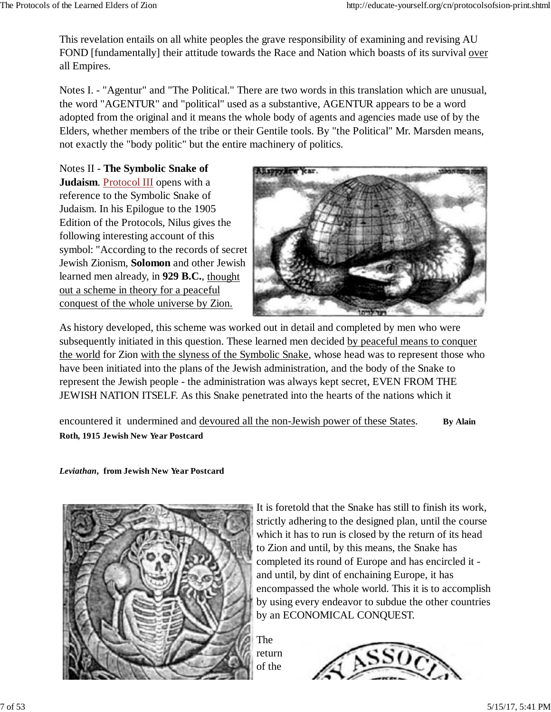This revelation entails on all white peoples the grave responsibility of examining and revising AU FOND [fundamentally] their attitude towards the Race and Nation which boasts of its survival over all Empires.

Notes I. - "Agentur" and "The Political." There are two words in this translation which are unusual, the word "AGENTUR" and "political" used as a substantive, AGENTUR appears to be a word adopted from the original and it means the whole body of agents and agencies made use of by the Elders, whether members of the tribe or their Gentile tools. By "the Political" Mr. Marsden means, not exactly the "body politic" but the entire machinery of politics.

Notes II - **The Symbolic Snake of Judaism**. Protocol III opens with a reference to the Symbolic Snake of Judaism. In his Epilogue to the 1905 Edition of the Protocols, Nilus gives the following interesting account of this symbol: "According to the records of secret Jewish Zionism, **Solomon** and other Jewish learned men already, in **929 B.C.**, thought out a scheme in theory for a peaceful conquest of the whole universe by Zion.



As history developed, this scheme was worked out in detail and completed by men who were subsequently initiated in this question. These learned men decided by peaceful means to conquer the world for Zion with the slyness of the Symbolic Snake, whose head was to represent those who have been initiated into the plans of the Jewish administration, and the body of the Snake to represent the Jewish people - the administration was always kept secret, EVEN FROM THE JEWISH NATION ITSELF. As this Snake penetrated into the hearts of the nations which it

encountered it undermined and devoured all the non-Jewish power of these States. **By Alain Roth, 1915 Jewish New Year Postcard**

*Leviathan***, from Jewish New Year Postcard**



It is foretold that the Snake has still to finish its work, strictly adhering to the designed plan, until the course which it has to run is closed by the return of its head to Zion and until, by this means, the Snake has completed its round of Europe and has encircled it and until, by dint of enchaining Europe, it has encompassed the whole world. This it is to accomplish by using every endeavor to subdue the other countries by an ECONOMICAL CONQUEST.

The return of the

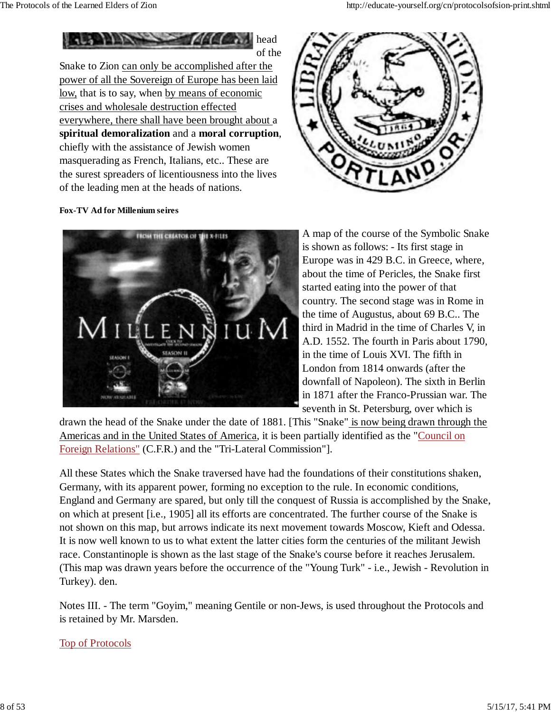head of the Snake to Zion can only be accomplished after the power of all the Sovereign of Europe has been laid low, that is to say, when by means of economic crises and wholesale destruction effected everywhere, there shall have been brought about a **spiritual demoralization** and a **moral corruption**, chiefly with the assistance of Jewish women masquerading as French, Italians, etc.. These are the surest spreaders of licentiousness into the lives of the leading men at the heads of nations.



#### **Fox-TV Ad for Millenium seires**



A map of the course of the Symbolic Snake is shown as follows: - Its first stage in Europe was in 429 B.C. in Greece, where, about the time of Pericles, the Snake first started eating into the power of that country. The second stage was in Rome in the time of Augustus, about 69 B.C.. The third in Madrid in the time of Charles V, in A.D. 1552. The fourth in Paris about 1790, in the time of Louis XVI. The fifth in London from 1814 onwards (after the downfall of Napoleon). The sixth in Berlin in 1871 after the Franco-Prussian war. The seventh in St. Petersburg, over which is

drawn the head of the Snake under the date of 1881. [This "Snake" is now being drawn through the Americas and in the United States of America, it is been partially identified as the "Council on Foreign Relations" (C.F.R.) and the "Tri-Lateral Commission"].

All these States which the Snake traversed have had the foundations of their constitutions shaken, Germany, with its apparent power, forming no exception to the rule. In economic conditions, England and Germany are spared, but only till the conquest of Russia is accomplished by the Snake, on which at present [i.e., 1905] all its efforts are concentrated. The further course of the Snake is not shown on this map, but arrows indicate its next movement towards Moscow, Kieft and Odessa. It is now well known to us to what extent the latter cities form the centuries of the militant Jewish race. Constantinople is shown as the last stage of the Snake's course before it reaches Jerusalem. (This map was drawn years before the occurrence of the "Young Turk" - i.e., Jewish - Revolution in Turkey). den.

Notes III. - The term "Goyim," meaning Gentile or non-Jews, is used throughout the Protocols and is retained by Mr. Marsden.

## Top of Protocols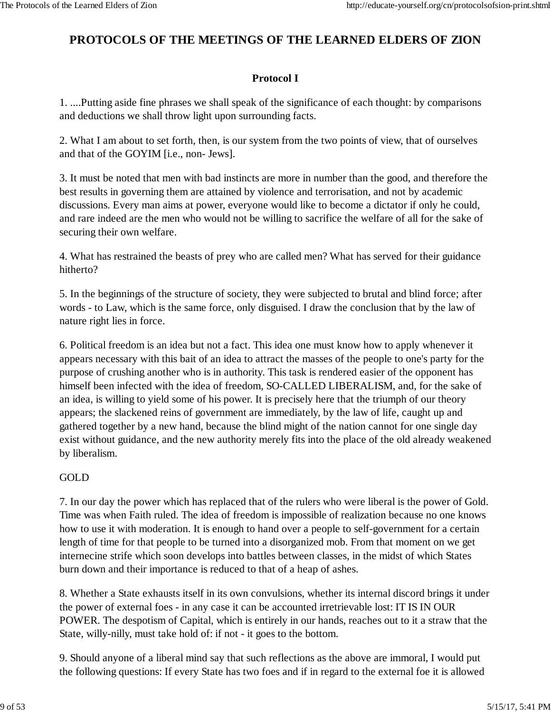## **PROTOCOLS OF THE MEETINGS OF THE LEARNED ELDERS OF ZION**

## **Protocol I**

1. ....Putting aside fine phrases we shall speak of the significance of each thought: by comparisons and deductions we shall throw light upon surrounding facts.

2. What I am about to set forth, then, is our system from the two points of view, that of ourselves and that of the GOYIM [i.e., non- Jews].

3. It must be noted that men with bad instincts are more in number than the good, and therefore the best results in governing them are attained by violence and terrorisation, and not by academic discussions. Every man aims at power, everyone would like to become a dictator if only he could, and rare indeed are the men who would not be willing to sacrifice the welfare of all for the sake of securing their own welfare.

4. What has restrained the beasts of prey who are called men? What has served for their guidance hitherto?

5. In the beginnings of the structure of society, they were subjected to brutal and blind force; after words - to Law, which is the same force, only disguised. I draw the conclusion that by the law of nature right lies in force.

6. Political freedom is an idea but not a fact. This idea one must know how to apply whenever it appears necessary with this bait of an idea to attract the masses of the people to one's party for the purpose of crushing another who is in authority. This task is rendered easier of the opponent has himself been infected with the idea of freedom, SO-CALLED LIBERALISM, and, for the sake of an idea, is willing to yield some of his power. It is precisely here that the triumph of our theory appears; the slackened reins of government are immediately, by the law of life, caught up and gathered together by a new hand, because the blind might of the nation cannot for one single day exist without guidance, and the new authority merely fits into the place of the old already weakened by liberalism.

#### GOLD

7. In our day the power which has replaced that of the rulers who were liberal is the power of Gold. Time was when Faith ruled. The idea of freedom is impossible of realization because no one knows how to use it with moderation. It is enough to hand over a people to self-government for a certain length of time for that people to be turned into a disorganized mob. From that moment on we get internecine strife which soon develops into battles between classes, in the midst of which States burn down and their importance is reduced to that of a heap of ashes.

8. Whether a State exhausts itself in its own convulsions, whether its internal discord brings it under the power of external foes - in any case it can be accounted irretrievable lost: IT IS IN OUR POWER. The despotism of Capital, which is entirely in our hands, reaches out to it a straw that the State, willy-nilly, must take hold of: if not - it goes to the bottom.

9. Should anyone of a liberal mind say that such reflections as the above are immoral, I would put the following questions: If every State has two foes and if in regard to the external foe it is allowed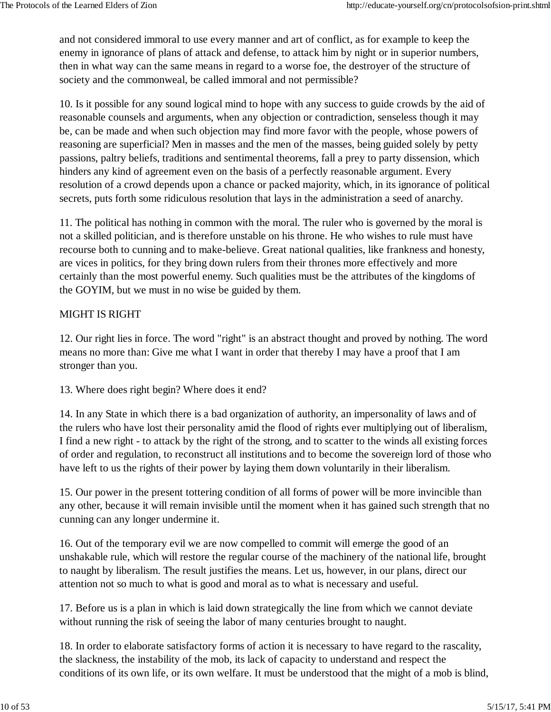and not considered immoral to use every manner and art of conflict, as for example to keep the enemy in ignorance of plans of attack and defense, to attack him by night or in superior numbers, then in what way can the same means in regard to a worse foe, the destroyer of the structure of society and the commonweal, be called immoral and not permissible?

10. Is it possible for any sound logical mind to hope with any success to guide crowds by the aid of reasonable counsels and arguments, when any objection or contradiction, senseless though it may be, can be made and when such objection may find more favor with the people, whose powers of reasoning are superficial? Men in masses and the men of the masses, being guided solely by petty passions, paltry beliefs, traditions and sentimental theorems, fall a prey to party dissension, which hinders any kind of agreement even on the basis of a perfectly reasonable argument. Every resolution of a crowd depends upon a chance or packed majority, which, in its ignorance of political secrets, puts forth some ridiculous resolution that lays in the administration a seed of anarchy.

11. The political has nothing in common with the moral. The ruler who is governed by the moral is not a skilled politician, and is therefore unstable on his throne. He who wishes to rule must have recourse both to cunning and to make-believe. Great national qualities, like frankness and honesty, are vices in politics, for they bring down rulers from their thrones more effectively and more certainly than the most powerful enemy. Such qualities must be the attributes of the kingdoms of the GOYIM, but we must in no wise be guided by them.

#### MIGHT IS RIGHT

12. Our right lies in force. The word "right" is an abstract thought and proved by nothing. The word means no more than: Give me what I want in order that thereby I may have a proof that I am stronger than you.

13. Where does right begin? Where does it end?

14. In any State in which there is a bad organization of authority, an impersonality of laws and of the rulers who have lost their personality amid the flood of rights ever multiplying out of liberalism, I find a new right - to attack by the right of the strong, and to scatter to the winds all existing forces of order and regulation, to reconstruct all institutions and to become the sovereign lord of those who have left to us the rights of their power by laying them down voluntarily in their liberalism.

15. Our power in the present tottering condition of all forms of power will be more invincible than any other, because it will remain invisible until the moment when it has gained such strength that no cunning can any longer undermine it.

16. Out of the temporary evil we are now compelled to commit will emerge the good of an unshakable rule, which will restore the regular course of the machinery of the national life, brought to naught by liberalism. The result justifies the means. Let us, however, in our plans, direct our attention not so much to what is good and moral as to what is necessary and useful.

17. Before us is a plan in which is laid down strategically the line from which we cannot deviate without running the risk of seeing the labor of many centuries brought to naught.

18. In order to elaborate satisfactory forms of action it is necessary to have regard to the rascality, the slackness, the instability of the mob, its lack of capacity to understand and respect the conditions of its own life, or its own welfare. It must be understood that the might of a mob is blind,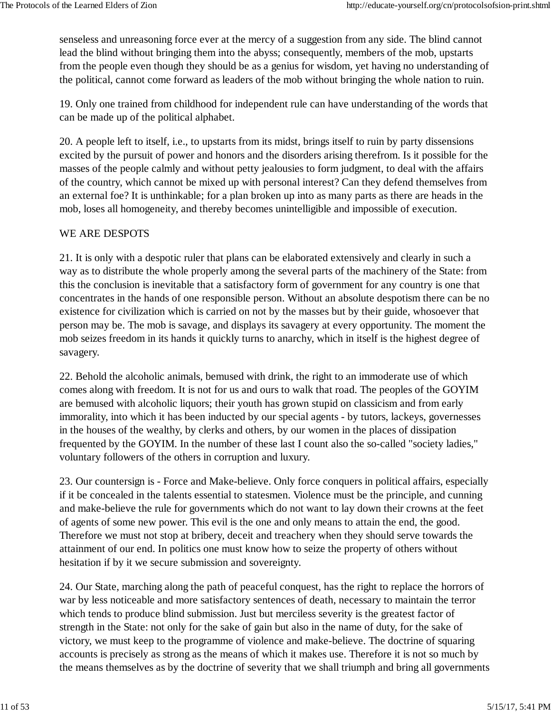senseless and unreasoning force ever at the mercy of a suggestion from any side. The blind cannot lead the blind without bringing them into the abyss; consequently, members of the mob, upstarts from the people even though they should be as a genius for wisdom, yet having no understanding of the political, cannot come forward as leaders of the mob without bringing the whole nation to ruin.

19. Only one trained from childhood for independent rule can have understanding of the words that can be made up of the political alphabet.

20. A people left to itself, i.e., to upstarts from its midst, brings itself to ruin by party dissensions excited by the pursuit of power and honors and the disorders arising therefrom. Is it possible for the masses of the people calmly and without petty jealousies to form judgment, to deal with the affairs of the country, which cannot be mixed up with personal interest? Can they defend themselves from an external foe? It is unthinkable; for a plan broken up into as many parts as there are heads in the mob, loses all homogeneity, and thereby becomes unintelligible and impossible of execution.

## WE ARE DESPOTS

21. It is only with a despotic ruler that plans can be elaborated extensively and clearly in such a way as to distribute the whole properly among the several parts of the machinery of the State: from this the conclusion is inevitable that a satisfactory form of government for any country is one that concentrates in the hands of one responsible person. Without an absolute despotism there can be no existence for civilization which is carried on not by the masses but by their guide, whosoever that person may be. The mob is savage, and displays its savagery at every opportunity. The moment the mob seizes freedom in its hands it quickly turns to anarchy, which in itself is the highest degree of savagery.

22. Behold the alcoholic animals, bemused with drink, the right to an immoderate use of which comes along with freedom. It is not for us and ours to walk that road. The peoples of the GOYIM are bemused with alcoholic liquors; their youth has grown stupid on classicism and from early immorality, into which it has been inducted by our special agents - by tutors, lackeys, governesses in the houses of the wealthy, by clerks and others, by our women in the places of dissipation frequented by the GOYIM. In the number of these last I count also the so-called "society ladies," voluntary followers of the others in corruption and luxury.

23. Our countersign is - Force and Make-believe. Only force conquers in political affairs, especially if it be concealed in the talents essential to statesmen. Violence must be the principle, and cunning and make-believe the rule for governments which do not want to lay down their crowns at the feet of agents of some new power. This evil is the one and only means to attain the end, the good. Therefore we must not stop at bribery, deceit and treachery when they should serve towards the attainment of our end. In politics one must know how to seize the property of others without hesitation if by it we secure submission and sovereignty.

24. Our State, marching along the path of peaceful conquest, has the right to replace the horrors of war by less noticeable and more satisfactory sentences of death, necessary to maintain the terror which tends to produce blind submission. Just but merciless severity is the greatest factor of strength in the State: not only for the sake of gain but also in the name of duty, for the sake of victory, we must keep to the programme of violence and make-believe. The doctrine of squaring accounts is precisely as strong as the means of which it makes use. Therefore it is not so much by the means themselves as by the doctrine of severity that we shall triumph and bring all governments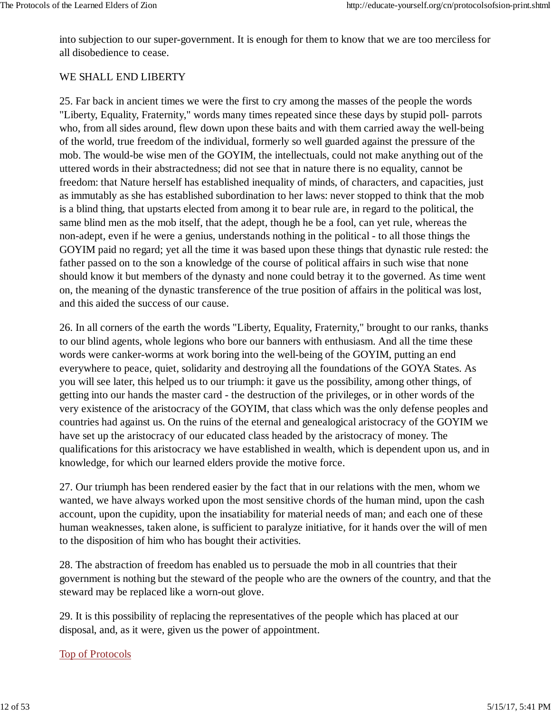into subjection to our super-government. It is enough for them to know that we are too merciless for all disobedience to cease.

## WE SHALL END LIBERTY

25. Far back in ancient times we were the first to cry among the masses of the people the words "Liberty, Equality, Fraternity," words many times repeated since these days by stupid poll- parrots who, from all sides around, flew down upon these baits and with them carried away the well-being of the world, true freedom of the individual, formerly so well guarded against the pressure of the mob. The would-be wise men of the GOYIM, the intellectuals, could not make anything out of the uttered words in their abstractedness; did not see that in nature there is no equality, cannot be freedom: that Nature herself has established inequality of minds, of characters, and capacities, just as immutably as she has established subordination to her laws: never stopped to think that the mob is a blind thing, that upstarts elected from among it to bear rule are, in regard to the political, the same blind men as the mob itself, that the adept, though he be a fool, can yet rule, whereas the non-adept, even if he were a genius, understands nothing in the political - to all those things the GOYIM paid no regard; yet all the time it was based upon these things that dynastic rule rested: the father passed on to the son a knowledge of the course of political affairs in such wise that none should know it but members of the dynasty and none could betray it to the governed. As time went on, the meaning of the dynastic transference of the true position of affairs in the political was lost, and this aided the success of our cause.

26. In all corners of the earth the words "Liberty, Equality, Fraternity," brought to our ranks, thanks to our blind agents, whole legions who bore our banners with enthusiasm. And all the time these words were canker-worms at work boring into the well-being of the GOYIM, putting an end everywhere to peace, quiet, solidarity and destroying all the foundations of the GOYA States. As you will see later, this helped us to our triumph: it gave us the possibility, among other things, of getting into our hands the master card - the destruction of the privileges, or in other words of the very existence of the aristocracy of the GOYIM, that class which was the only defense peoples and countries had against us. On the ruins of the eternal and genealogical aristocracy of the GOYIM we have set up the aristocracy of our educated class headed by the aristocracy of money. The qualifications for this aristocracy we have established in wealth, which is dependent upon us, and in knowledge, for which our learned elders provide the motive force.

27. Our triumph has been rendered easier by the fact that in our relations with the men, whom we wanted, we have always worked upon the most sensitive chords of the human mind, upon the cash account, upon the cupidity, upon the insatiability for material needs of man; and each one of these human weaknesses, taken alone, is sufficient to paralyze initiative, for it hands over the will of men to the disposition of him who has bought their activities.

28. The abstraction of freedom has enabled us to persuade the mob in all countries that their government is nothing but the steward of the people who are the owners of the country, and that the steward may be replaced like a worn-out glove.

29. It is this possibility of replacing the representatives of the people which has placed at our disposal, and, as it were, given us the power of appointment.

#### Top of Protocols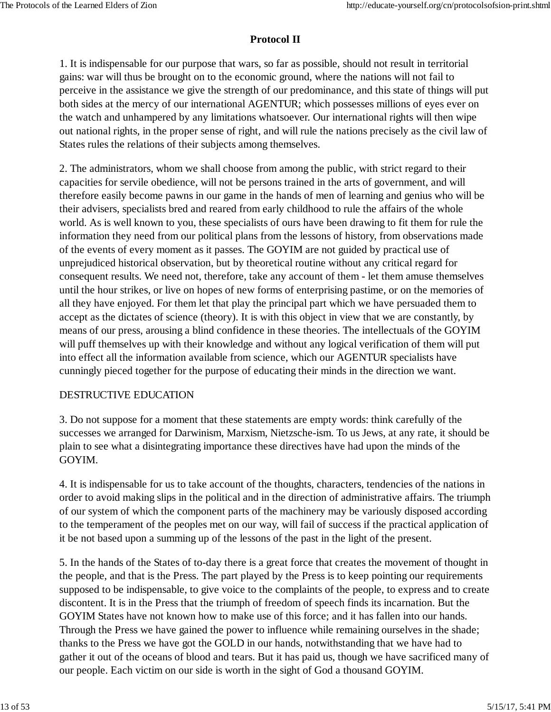## **Protocol II**

1. It is indispensable for our purpose that wars, so far as possible, should not result in territorial gains: war will thus be brought on to the economic ground, where the nations will not fail to perceive in the assistance we give the strength of our predominance, and this state of things will put both sides at the mercy of our international AGENTUR; which possesses millions of eyes ever on the watch and unhampered by any limitations whatsoever. Our international rights will then wipe out national rights, in the proper sense of right, and will rule the nations precisely as the civil law of States rules the relations of their subjects among themselves.

2. The administrators, whom we shall choose from among the public, with strict regard to their capacities for servile obedience, will not be persons trained in the arts of government, and will therefore easily become pawns in our game in the hands of men of learning and genius who will be their advisers, specialists bred and reared from early childhood to rule the affairs of the whole world. As is well known to you, these specialists of ours have been drawing to fit them for rule the information they need from our political plans from the lessons of history, from observations made of the events of every moment as it passes. The GOYIM are not guided by practical use of unprejudiced historical observation, but by theoretical routine without any critical regard for consequent results. We need not, therefore, take any account of them - let them amuse themselves until the hour strikes, or live on hopes of new forms of enterprising pastime, or on the memories of all they have enjoyed. For them let that play the principal part which we have persuaded them to accept as the dictates of science (theory). It is with this object in view that we are constantly, by means of our press, arousing a blind confidence in these theories. The intellectuals of the GOYIM will puff themselves up with their knowledge and without any logical verification of them will put into effect all the information available from science, which our AGENTUR specialists have cunningly pieced together for the purpose of educating their minds in the direction we want.

#### DESTRUCTIVE EDUCATION

3. Do not suppose for a moment that these statements are empty words: think carefully of the successes we arranged for Darwinism, Marxism, Nietzsche-ism. To us Jews, at any rate, it should be plain to see what a disintegrating importance these directives have had upon the minds of the GOYIM.

4. It is indispensable for us to take account of the thoughts, characters, tendencies of the nations in order to avoid making slips in the political and in the direction of administrative affairs. The triumph of our system of which the component parts of the machinery may be variously disposed according to the temperament of the peoples met on our way, will fail of success if the practical application of it be not based upon a summing up of the lessons of the past in the light of the present.

5. In the hands of the States of to-day there is a great force that creates the movement of thought in the people, and that is the Press. The part played by the Press is to keep pointing our requirements supposed to be indispensable, to give voice to the complaints of the people, to express and to create discontent. It is in the Press that the triumph of freedom of speech finds its incarnation. But the GOYIM States have not known how to make use of this force; and it has fallen into our hands. Through the Press we have gained the power to influence while remaining ourselves in the shade; thanks to the Press we have got the GOLD in our hands, notwithstanding that we have had to gather it out of the oceans of blood and tears. But it has paid us, though we have sacrificed many of our people. Each victim on our side is worth in the sight of God a thousand GOYIM.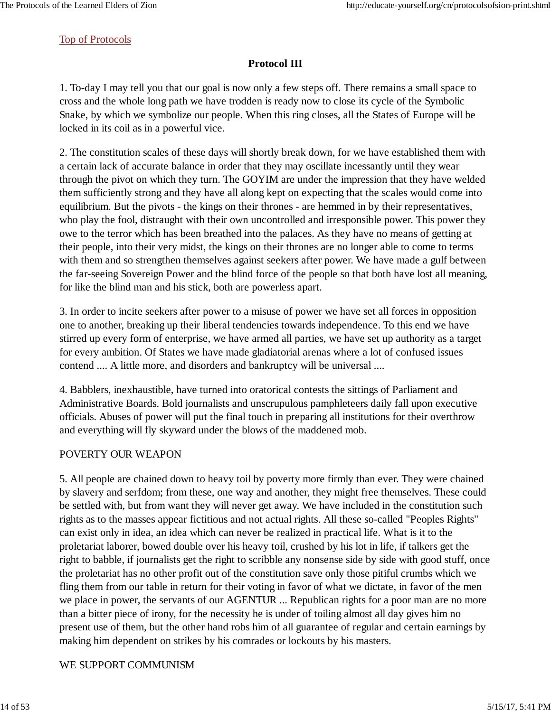### Top of Protocols

## **Protocol III**

1. To-day I may tell you that our goal is now only a few steps off. There remains a small space to cross and the whole long path we have trodden is ready now to close its cycle of the Symbolic Snake, by which we symbolize our people. When this ring closes, all the States of Europe will be locked in its coil as in a powerful vice.

2. The constitution scales of these days will shortly break down, for we have established them with a certain lack of accurate balance in order that they may oscillate incessantly until they wear through the pivot on which they turn. The GOYIM are under the impression that they have welded them sufficiently strong and they have all along kept on expecting that the scales would come into equilibrium. But the pivots - the kings on their thrones - are hemmed in by their representatives, who play the fool, distraught with their own uncontrolled and irresponsible power. This power they owe to the terror which has been breathed into the palaces. As they have no means of getting at their people, into their very midst, the kings on their thrones are no longer able to come to terms with them and so strengthen themselves against seekers after power. We have made a gulf between the far-seeing Sovereign Power and the blind force of the people so that both have lost all meaning, for like the blind man and his stick, both are powerless apart.

3. In order to incite seekers after power to a misuse of power we have set all forces in opposition one to another, breaking up their liberal tendencies towards independence. To this end we have stirred up every form of enterprise, we have armed all parties, we have set up authority as a target for every ambition. Of States we have made gladiatorial arenas where a lot of confused issues contend .... A little more, and disorders and bankruptcy will be universal ....

4. Babblers, inexhaustible, have turned into oratorical contests the sittings of Parliament and Administrative Boards. Bold journalists and unscrupulous pamphleteers daily fall upon executive officials. Abuses of power will put the final touch in preparing all institutions for their overthrow and everything will fly skyward under the blows of the maddened mob.

#### POVERTY OUR WEAPON

5. All people are chained down to heavy toil by poverty more firmly than ever. They were chained by slavery and serfdom; from these, one way and another, they might free themselves. These could be settled with, but from want they will never get away. We have included in the constitution such rights as to the masses appear fictitious and not actual rights. All these so-called "Peoples Rights" can exist only in idea, an idea which can never be realized in practical life. What is it to the proletariat laborer, bowed double over his heavy toil, crushed by his lot in life, if talkers get the right to babble, if journalists get the right to scribble any nonsense side by side with good stuff, once the proletariat has no other profit out of the constitution save only those pitiful crumbs which we fling them from our table in return for their voting in favor of what we dictate, in favor of the men we place in power, the servants of our AGENTUR ... Republican rights for a poor man are no more than a bitter piece of irony, for the necessity he is under of toiling almost all day gives him no present use of them, but the other hand robs him of all guarantee of regular and certain earnings by making him dependent on strikes by his comrades or lockouts by his masters.

#### WE SUPPORT COMMUNISM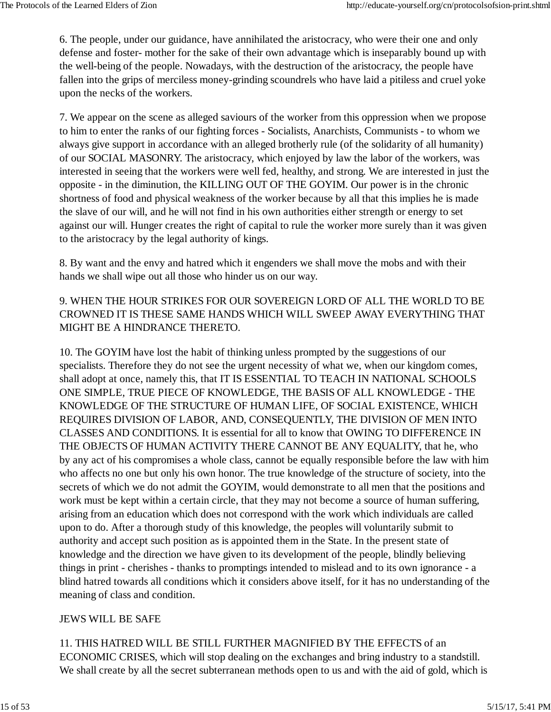6. The people, under our guidance, have annihilated the aristocracy, who were their one and only defense and foster- mother for the sake of their own advantage which is inseparably bound up with the well-being of the people. Nowadays, with the destruction of the aristocracy, the people have fallen into the grips of merciless money-grinding scoundrels who have laid a pitiless and cruel yoke upon the necks of the workers.

7. We appear on the scene as alleged saviours of the worker from this oppression when we propose to him to enter the ranks of our fighting forces - Socialists, Anarchists, Communists - to whom we always give support in accordance with an alleged brotherly rule (of the solidarity of all humanity) of our SOCIAL MASONRY. The aristocracy, which enjoyed by law the labor of the workers, was interested in seeing that the workers were well fed, healthy, and strong. We are interested in just the opposite - in the diminution, the KILLING OUT OF THE GOYIM. Our power is in the chronic shortness of food and physical weakness of the worker because by all that this implies he is made the slave of our will, and he will not find in his own authorities either strength or energy to set against our will. Hunger creates the right of capital to rule the worker more surely than it was given to the aristocracy by the legal authority of kings.

8. By want and the envy and hatred which it engenders we shall move the mobs and with their hands we shall wipe out all those who hinder us on our way.

## 9. WHEN THE HOUR STRIKES FOR OUR SOVEREIGN LORD OF ALL THE WORLD TO BE CROWNED IT IS THESE SAME HANDS WHICH WILL SWEEP AWAY EVERYTHING THAT MIGHT BE A HINDRANCE THERETO.

10. The GOYIM have lost the habit of thinking unless prompted by the suggestions of our specialists. Therefore they do not see the urgent necessity of what we, when our kingdom comes, shall adopt at once, namely this, that IT IS ESSENTIAL TO TEACH IN NATIONAL SCHOOLS ONE SIMPLE, TRUE PIECE OF KNOWLEDGE, THE BASIS OF ALL KNOWLEDGE - THE KNOWLEDGE OF THE STRUCTURE OF HUMAN LIFE, OF SOCIAL EXISTENCE, WHICH REQUIRES DIVISION OF LABOR, AND, CONSEQUENTLY, THE DIVISION OF MEN INTO CLASSES AND CONDITIONS. It is essential for all to know that OWING TO DIFFERENCE IN THE OBJECTS OF HUMAN ACTIVITY THERE CANNOT BE ANY EQUALITY, that he, who by any act of his compromises a whole class, cannot be equally responsible before the law with him who affects no one but only his own honor. The true knowledge of the structure of society, into the secrets of which we do not admit the GOYIM, would demonstrate to all men that the positions and work must be kept within a certain circle, that they may not become a source of human suffering, arising from an education which does not correspond with the work which individuals are called upon to do. After a thorough study of this knowledge, the peoples will voluntarily submit to authority and accept such position as is appointed them in the State. In the present state of knowledge and the direction we have given to its development of the people, blindly believing things in print - cherishes - thanks to promptings intended to mislead and to its own ignorance - a blind hatred towards all conditions which it considers above itself, for it has no understanding of the meaning of class and condition.

## JEWS WILL BE SAFE

11. THIS HATRED WILL BE STILL FURTHER MAGNIFIED BY THE EFFECTS of an ECONOMIC CRISES, which will stop dealing on the exchanges and bring industry to a standstill. We shall create by all the secret subterranean methods open to us and with the aid of gold, which is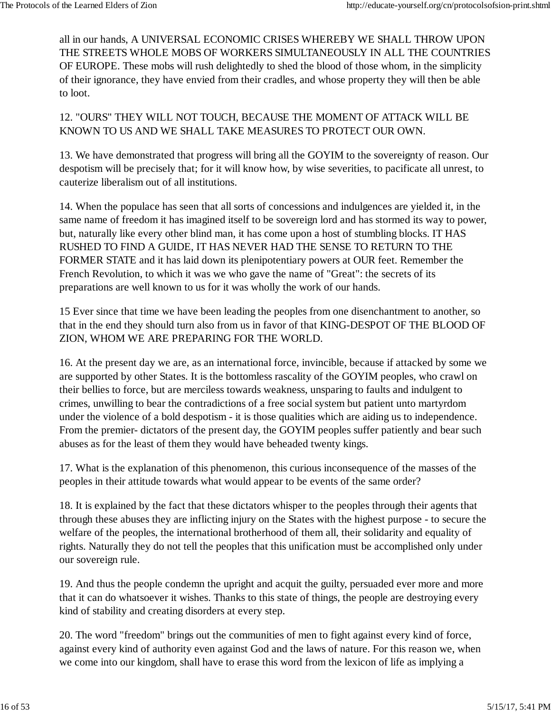all in our hands, A UNIVERSAL ECONOMIC CRISES WHEREBY WE SHALL THROW UPON THE STREETS WHOLE MOBS OF WORKERS SIMULTANEOUSLY IN ALL THE COUNTRIES OF EUROPE. These mobs will rush delightedly to shed the blood of those whom, in the simplicity of their ignorance, they have envied from their cradles, and whose property they will then be able to loot.

12. "OURS" THEY WILL NOT TOUCH, BECAUSE THE MOMENT OF ATTACK WILL BE KNOWN TO US AND WE SHALL TAKE MEASURES TO PROTECT OUR OWN.

13. We have demonstrated that progress will bring all the GOYIM to the sovereignty of reason. Our despotism will be precisely that; for it will know how, by wise severities, to pacificate all unrest, to cauterize liberalism out of all institutions.

14. When the populace has seen that all sorts of concessions and indulgences are yielded it, in the same name of freedom it has imagined itself to be sovereign lord and has stormed its way to power, but, naturally like every other blind man, it has come upon a host of stumbling blocks. IT HAS RUSHED TO FIND A GUIDE, IT HAS NEVER HAD THE SENSE TO RETURN TO THE FORMER STATE and it has laid down its plenipotentiary powers at OUR feet. Remember the French Revolution, to which it was we who gave the name of "Great": the secrets of its preparations are well known to us for it was wholly the work of our hands.

15 Ever since that time we have been leading the peoples from one disenchantment to another, so that in the end they should turn also from us in favor of that KING-DESPOT OF THE BLOOD OF ZION, WHOM WE ARE PREPARING FOR THE WORLD.

16. At the present day we are, as an international force, invincible, because if attacked by some we are supported by other States. It is the bottomless rascality of the GOYIM peoples, who crawl on their bellies to force, but are merciless towards weakness, unsparing to faults and indulgent to crimes, unwilling to bear the contradictions of a free social system but patient unto martyrdom under the violence of a bold despotism - it is those qualities which are aiding us to independence. From the premier- dictators of the present day, the GOYIM peoples suffer patiently and bear such abuses as for the least of them they would have beheaded twenty kings.

17. What is the explanation of this phenomenon, this curious inconsequence of the masses of the peoples in their attitude towards what would appear to be events of the same order?

18. It is explained by the fact that these dictators whisper to the peoples through their agents that through these abuses they are inflicting injury on the States with the highest purpose - to secure the welfare of the peoples, the international brotherhood of them all, their solidarity and equality of rights. Naturally they do not tell the peoples that this unification must be accomplished only under our sovereign rule.

19. And thus the people condemn the upright and acquit the guilty, persuaded ever more and more that it can do whatsoever it wishes. Thanks to this state of things, the people are destroying every kind of stability and creating disorders at every step.

20. The word "freedom" brings out the communities of men to fight against every kind of force, against every kind of authority even against God and the laws of nature. For this reason we, when we come into our kingdom, shall have to erase this word from the lexicon of life as implying a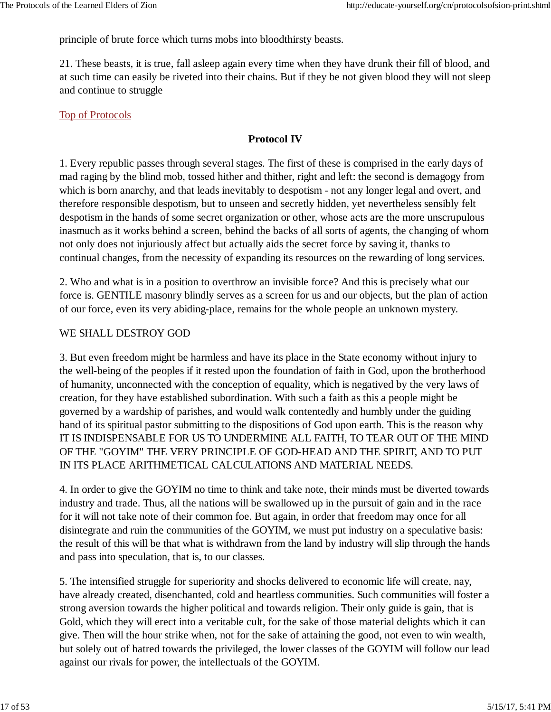principle of brute force which turns mobs into bloodthirsty beasts.

21. These beasts, it is true, fall asleep again every time when they have drunk their fill of blood, and at such time can easily be riveted into their chains. But if they be not given blood they will not sleep and continue to struggle

#### Top of Protocols

#### **Protocol IV**

1. Every republic passes through several stages. The first of these is comprised in the early days of mad raging by the blind mob, tossed hither and thither, right and left: the second is demagogy from which is born anarchy, and that leads inevitably to despotism - not any longer legal and overt, and therefore responsible despotism, but to unseen and secretly hidden, yet nevertheless sensibly felt despotism in the hands of some secret organization or other, whose acts are the more unscrupulous inasmuch as it works behind a screen, behind the backs of all sorts of agents, the changing of whom not only does not injuriously affect but actually aids the secret force by saving it, thanks to continual changes, from the necessity of expanding its resources on the rewarding of long services.

2. Who and what is in a position to overthrow an invisible force? And this is precisely what our force is. GENTILE masonry blindly serves as a screen for us and our objects, but the plan of action of our force, even its very abiding-place, remains for the whole people an unknown mystery.

#### WE SHALL DESTROY GOD

3. But even freedom might be harmless and have its place in the State economy without injury to the well-being of the peoples if it rested upon the foundation of faith in God, upon the brotherhood of humanity, unconnected with the conception of equality, which is negatived by the very laws of creation, for they have established subordination. With such a faith as this a people might be governed by a wardship of parishes, and would walk contentedly and humbly under the guiding hand of its spiritual pastor submitting to the dispositions of God upon earth. This is the reason why IT IS INDISPENSABLE FOR US TO UNDERMINE ALL FAITH, TO TEAR OUT OF THE MIND OF THE "GOYIM" THE VERY PRINCIPLE OF GOD-HEAD AND THE SPIRIT, AND TO PUT IN ITS PLACE ARITHMETICAL CALCULATIONS AND MATERIAL NEEDS.

4. In order to give the GOYIM no time to think and take note, their minds must be diverted towards industry and trade. Thus, all the nations will be swallowed up in the pursuit of gain and in the race for it will not take note of their common foe. But again, in order that freedom may once for all disintegrate and ruin the communities of the GOYIM, we must put industry on a speculative basis: the result of this will be that what is withdrawn from the land by industry will slip through the hands and pass into speculation, that is, to our classes.

5. The intensified struggle for superiority and shocks delivered to economic life will create, nay, have already created, disenchanted, cold and heartless communities. Such communities will foster a strong aversion towards the higher political and towards religion. Their only guide is gain, that is Gold, which they will erect into a veritable cult, for the sake of those material delights which it can give. Then will the hour strike when, not for the sake of attaining the good, not even to win wealth, but solely out of hatred towards the privileged, the lower classes of the GOYIM will follow our lead against our rivals for power, the intellectuals of the GOYIM.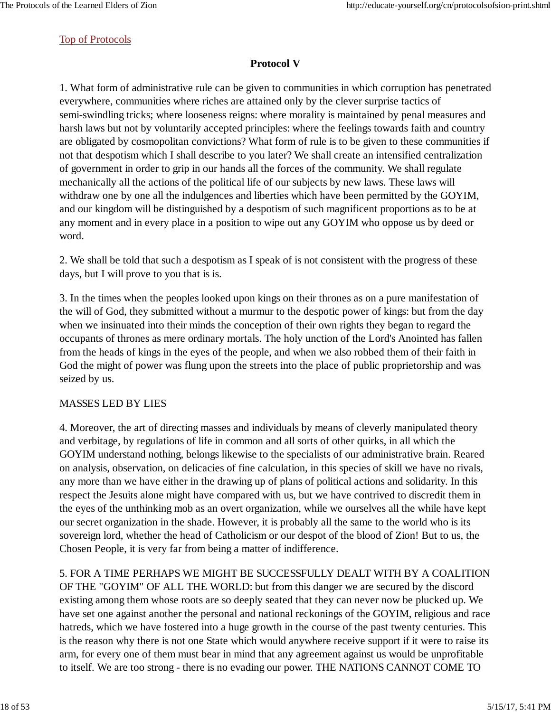## Top of Protocols

## **Protocol V**

1. What form of administrative rule can be given to communities in which corruption has penetrated everywhere, communities where riches are attained only by the clever surprise tactics of semi-swindling tricks; where looseness reigns: where morality is maintained by penal measures and harsh laws but not by voluntarily accepted principles: where the feelings towards faith and country are obligated by cosmopolitan convictions? What form of rule is to be given to these communities if not that despotism which I shall describe to you later? We shall create an intensified centralization of government in order to grip in our hands all the forces of the community. We shall regulate mechanically all the actions of the political life of our subjects by new laws. These laws will withdraw one by one all the indulgences and liberties which have been permitted by the GOYIM, and our kingdom will be distinguished by a despotism of such magnificent proportions as to be at any moment and in every place in a position to wipe out any GOYIM who oppose us by deed or word.

2. We shall be told that such a despotism as I speak of is not consistent with the progress of these days, but I will prove to you that is is.

3. In the times when the peoples looked upon kings on their thrones as on a pure manifestation of the will of God, they submitted without a murmur to the despotic power of kings: but from the day when we insinuated into their minds the conception of their own rights they began to regard the occupants of thrones as mere ordinary mortals. The holy unction of the Lord's Anointed has fallen from the heads of kings in the eyes of the people, and when we also robbed them of their faith in God the might of power was flung upon the streets into the place of public proprietorship and was seized by us.

## MASSES LED BY LIES

4. Moreover, the art of directing masses and individuals by means of cleverly manipulated theory and verbitage, by regulations of life in common and all sorts of other quirks, in all which the GOYIM understand nothing, belongs likewise to the specialists of our administrative brain. Reared on analysis, observation, on delicacies of fine calculation, in this species of skill we have no rivals, any more than we have either in the drawing up of plans of political actions and solidarity. In this respect the Jesuits alone might have compared with us, but we have contrived to discredit them in the eyes of the unthinking mob as an overt organization, while we ourselves all the while have kept our secret organization in the shade. However, it is probably all the same to the world who is its sovereign lord, whether the head of Catholicism or our despot of the blood of Zion! But to us, the Chosen People, it is very far from being a matter of indifference.

5. FOR A TIME PERHAPS WE MIGHT BE SUCCESSFULLY DEALT WITH BY A COALITION OF THE "GOYIM" OF ALL THE WORLD: but from this danger we are secured by the discord existing among them whose roots are so deeply seated that they can never now be plucked up. We have set one against another the personal and national reckonings of the GOYIM, religious and race hatreds, which we have fostered into a huge growth in the course of the past twenty centuries. This is the reason why there is not one State which would anywhere receive support if it were to raise its arm, for every one of them must bear in mind that any agreement against us would be unprofitable to itself. We are too strong - there is no evading our power. THE NATIONS CANNOT COME TO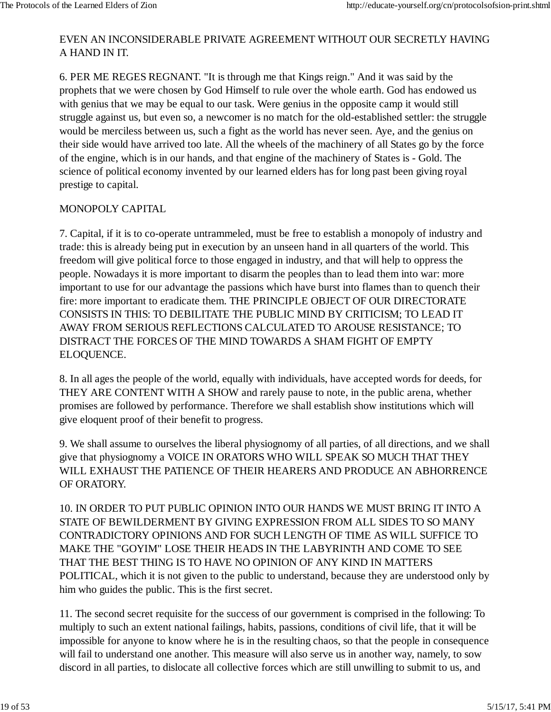## EVEN AN INCONSIDERABLE PRIVATE AGREEMENT WITHOUT OUR SECRETLY HAVING A HAND IN IT.

6. PER ME REGES REGNANT. "It is through me that Kings reign." And it was said by the prophets that we were chosen by God Himself to rule over the whole earth. God has endowed us with genius that we may be equal to our task. Were genius in the opposite camp it would still struggle against us, but even so, a newcomer is no match for the old-established settler: the struggle would be merciless between us, such a fight as the world has never seen. Aye, and the genius on their side would have arrived too late. All the wheels of the machinery of all States go by the force of the engine, which is in our hands, and that engine of the machinery of States is - Gold. The science of political economy invented by our learned elders has for long past been giving royal prestige to capital.

### MONOPOLY CAPITAL

7. Capital, if it is to co-operate untrammeled, must be free to establish a monopoly of industry and trade: this is already being put in execution by an unseen hand in all quarters of the world. This freedom will give political force to those engaged in industry, and that will help to oppress the people. Nowadays it is more important to disarm the peoples than to lead them into war: more important to use for our advantage the passions which have burst into flames than to quench their fire: more important to eradicate them. THE PRINCIPLE OBJECT OF OUR DIRECTORATE CONSISTS IN THIS: TO DEBILITATE THE PUBLIC MIND BY CRITICISM; TO LEAD IT AWAY FROM SERIOUS REFLECTIONS CALCULATED TO AROUSE RESISTANCE; TO DISTRACT THE FORCES OF THE MIND TOWARDS A SHAM FIGHT OF EMPTY ELOQUENCE.

8. In all ages the people of the world, equally with individuals, have accepted words for deeds, for THEY ARE CONTENT WITH A SHOW and rarely pause to note, in the public arena, whether promises are followed by performance. Therefore we shall establish show institutions which will give eloquent proof of their benefit to progress.

9. We shall assume to ourselves the liberal physiognomy of all parties, of all directions, and we shall give that physiognomy a VOICE IN ORATORS WHO WILL SPEAK SO MUCH THAT THEY WILL EXHAUST THE PATIENCE OF THEIR HEARERS AND PRODUCE AN ABHORRENCE OF ORATORY.

10. IN ORDER TO PUT PUBLIC OPINION INTO OUR HANDS WE MUST BRING IT INTO A STATE OF BEWILDERMENT BY GIVING EXPRESSION FROM ALL SIDES TO SO MANY CONTRADICTORY OPINIONS AND FOR SUCH LENGTH OF TIME AS WILL SUFFICE TO MAKE THE "GOYIM" LOSE THEIR HEADS IN THE LABYRINTH AND COME TO SEE THAT THE BEST THING IS TO HAVE NO OPINION OF ANY KIND IN MATTERS POLITICAL, which it is not given to the public to understand, because they are understood only by him who guides the public. This is the first secret.

11. The second secret requisite for the success of our government is comprised in the following: To multiply to such an extent national failings, habits, passions, conditions of civil life, that it will be impossible for anyone to know where he is in the resulting chaos, so that the people in consequence will fail to understand one another. This measure will also serve us in another way, namely, to sow discord in all parties, to dislocate all collective forces which are still unwilling to submit to us, and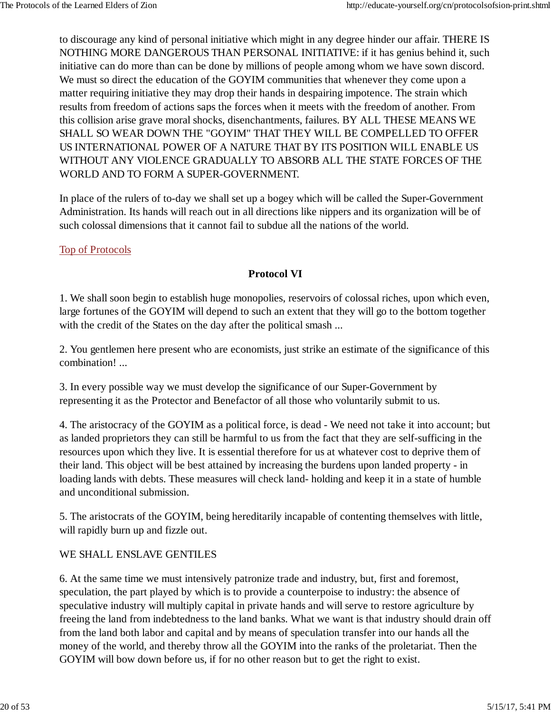to discourage any kind of personal initiative which might in any degree hinder our affair. THERE IS NOTHING MORE DANGEROUS THAN PERSONAL INITIATIVE: if it has genius behind it, such initiative can do more than can be done by millions of people among whom we have sown discord. We must so direct the education of the GOYIM communities that whenever they come upon a matter requiring initiative they may drop their hands in despairing impotence. The strain which results from freedom of actions saps the forces when it meets with the freedom of another. From this collision arise grave moral shocks, disenchantments, failures. BY ALL THESE MEANS WE SHALL SO WEAR DOWN THE "GOYIM" THAT THEY WILL BE COMPELLED TO OFFER US INTERNATIONAL POWER OF A NATURE THAT BY ITS POSITION WILL ENABLE US WITHOUT ANY VIOLENCE GRADUALLY TO ABSORB ALL THE STATE FORCES OF THE WORLD AND TO FORM A SUPER-GOVERNMENT.

In place of the rulers of to-day we shall set up a bogey which will be called the Super-Government Administration. Its hands will reach out in all directions like nippers and its organization will be of such colossal dimensions that it cannot fail to subdue all the nations of the world.

### Top of Protocols

### **Protocol VI**

1. We shall soon begin to establish huge monopolies, reservoirs of colossal riches, upon which even, large fortunes of the GOYIM will depend to such an extent that they will go to the bottom together with the credit of the States on the day after the political smash ...

2. You gentlemen here present who are economists, just strike an estimate of the significance of this combination! ...

3. In every possible way we must develop the significance of our Super-Government by representing it as the Protector and Benefactor of all those who voluntarily submit to us.

4. The aristocracy of the GOYIM as a political force, is dead - We need not take it into account; but as landed proprietors they can still be harmful to us from the fact that they are self-sufficing in the resources upon which they live. It is essential therefore for us at whatever cost to deprive them of their land. This object will be best attained by increasing the burdens upon landed property - in loading lands with debts. These measures will check land- holding and keep it in a state of humble and unconditional submission.

5. The aristocrats of the GOYIM, being hereditarily incapable of contenting themselves with little, will rapidly burn up and fizzle out.

## WE SHALL ENSLAVE GENTILES

6. At the same time we must intensively patronize trade and industry, but, first and foremost, speculation, the part played by which is to provide a counterpoise to industry: the absence of speculative industry will multiply capital in private hands and will serve to restore agriculture by freeing the land from indebtedness to the land banks. What we want is that industry should drain off from the land both labor and capital and by means of speculation transfer into our hands all the money of the world, and thereby throw all the GOYIM into the ranks of the proletariat. Then the GOYIM will bow down before us, if for no other reason but to get the right to exist.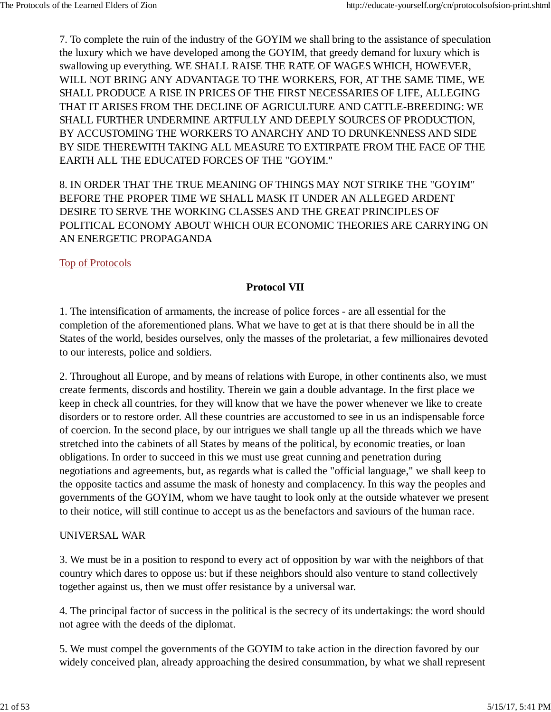7. To complete the ruin of the industry of the GOYIM we shall bring to the assistance of speculation the luxury which we have developed among the GOYIM, that greedy demand for luxury which is swallowing up everything. WE SHALL RAISE THE RATE OF WAGES WHICH, HOWEVER, WILL NOT BRING ANY ADVANTAGE TO THE WORKERS, FOR, AT THE SAME TIME, WE SHALL PRODUCE A RISE IN PRICES OF THE FIRST NECESSARIES OF LIFE, ALLEGING THAT IT ARISES FROM THE DECLINE OF AGRICULTURE AND CATTLE-BREEDING: WE SHALL FURTHER UNDERMINE ARTFULLY AND DEEPLY SOURCES OF PRODUCTION, BY ACCUSTOMING THE WORKERS TO ANARCHY AND TO DRUNKENNESS AND SIDE BY SIDE THEREWITH TAKING ALL MEASURE TO EXTIRPATE FROM THE FACE OF THE EARTH ALL THE EDUCATED FORCES OF THE "GOYIM."

8. IN ORDER THAT THE TRUE MEANING OF THINGS MAY NOT STRIKE THE "GOYIM" BEFORE THE PROPER TIME WE SHALL MASK IT UNDER AN ALLEGED ARDENT DESIRE TO SERVE THE WORKING CLASSES AND THE GREAT PRINCIPLES OF POLITICAL ECONOMY ABOUT WHICH OUR ECONOMIC THEORIES ARE CARRYING ON AN ENERGETIC PROPAGANDA

#### Top of Protocols

#### **Protocol VII**

1. The intensification of armaments, the increase of police forces - are all essential for the completion of the aforementioned plans. What we have to get at is that there should be in all the States of the world, besides ourselves, only the masses of the proletariat, a few millionaires devoted to our interests, police and soldiers.

2. Throughout all Europe, and by means of relations with Europe, in other continents also, we must create ferments, discords and hostility. Therein we gain a double advantage. In the first place we keep in check all countries, for they will know that we have the power whenever we like to create disorders or to restore order. All these countries are accustomed to see in us an indispensable force of coercion. In the second place, by our intrigues we shall tangle up all the threads which we have stretched into the cabinets of all States by means of the political, by economic treaties, or loan obligations. In order to succeed in this we must use great cunning and penetration during negotiations and agreements, but, as regards what is called the "official language," we shall keep to the opposite tactics and assume the mask of honesty and complacency. In this way the peoples and governments of the GOYIM, whom we have taught to look only at the outside whatever we present to their notice, will still continue to accept us as the benefactors and saviours of the human race.

#### UNIVERSAL WAR

3. We must be in a position to respond to every act of opposition by war with the neighbors of that country which dares to oppose us: but if these neighbors should also venture to stand collectively together against us, then we must offer resistance by a universal war.

4. The principal factor of success in the political is the secrecy of its undertakings: the word should not agree with the deeds of the diplomat.

5. We must compel the governments of the GOYIM to take action in the direction favored by our widely conceived plan, already approaching the desired consummation, by what we shall represent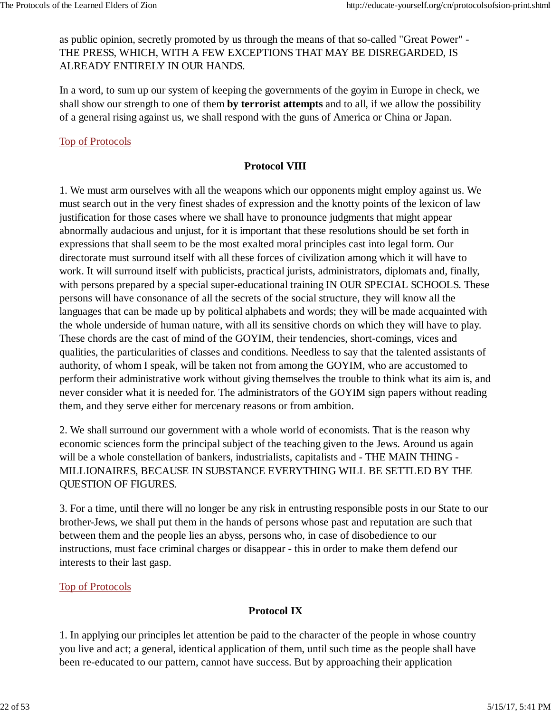as public opinion, secretly promoted by us through the means of that so-called "Great Power" - THE PRESS, WHICH, WITH A FEW EXCEPTIONS THAT MAY BE DISREGARDED, IS ALREADY ENTIRELY IN OUR HANDS.

In a word, to sum up our system of keeping the governments of the goyim in Europe in check, we shall show our strength to one of them **by terrorist attempts** and to all, if we allow the possibility of a general rising against us, we shall respond with the guns of America or China or Japan.

## Top of Protocols

## **Protocol VIII**

1. We must arm ourselves with all the weapons which our opponents might employ against us. We must search out in the very finest shades of expression and the knotty points of the lexicon of law justification for those cases where we shall have to pronounce judgments that might appear abnormally audacious and unjust, for it is important that these resolutions should be set forth in expressions that shall seem to be the most exalted moral principles cast into legal form. Our directorate must surround itself with all these forces of civilization among which it will have to work. It will surround itself with publicists, practical jurists, administrators, diplomats and, finally, with persons prepared by a special super-educational training IN OUR SPECIAL SCHOOLS. These persons will have consonance of all the secrets of the social structure, they will know all the languages that can be made up by political alphabets and words; they will be made acquainted with the whole underside of human nature, with all its sensitive chords on which they will have to play. These chords are the cast of mind of the GOYIM, their tendencies, short-comings, vices and qualities, the particularities of classes and conditions. Needless to say that the talented assistants of authority, of whom I speak, will be taken not from among the GOYIM, who are accustomed to perform their administrative work without giving themselves the trouble to think what its aim is, and never consider what it is needed for. The administrators of the GOYIM sign papers without reading them, and they serve either for mercenary reasons or from ambition.

2. We shall surround our government with a whole world of economists. That is the reason why economic sciences form the principal subject of the teaching given to the Jews. Around us again will be a whole constellation of bankers, industrialists, capitalists and - THE MAIN THING - MILLIONAIRES, BECAUSE IN SUBSTANCE EVERYTHING WILL BE SETTLED BY THE QUESTION OF FIGURES.

3. For a time, until there will no longer be any risk in entrusting responsible posts in our State to our brother-Jews, we shall put them in the hands of persons whose past and reputation are such that between them and the people lies an abyss, persons who, in case of disobedience to our instructions, must face criminal charges or disappear - this in order to make them defend our interests to their last gasp.

#### Top of Protocols

## **Protocol IX**

1. In applying our principles let attention be paid to the character of the people in whose country you live and act; a general, identical application of them, until such time as the people shall have been re-educated to our pattern, cannot have success. But by approaching their application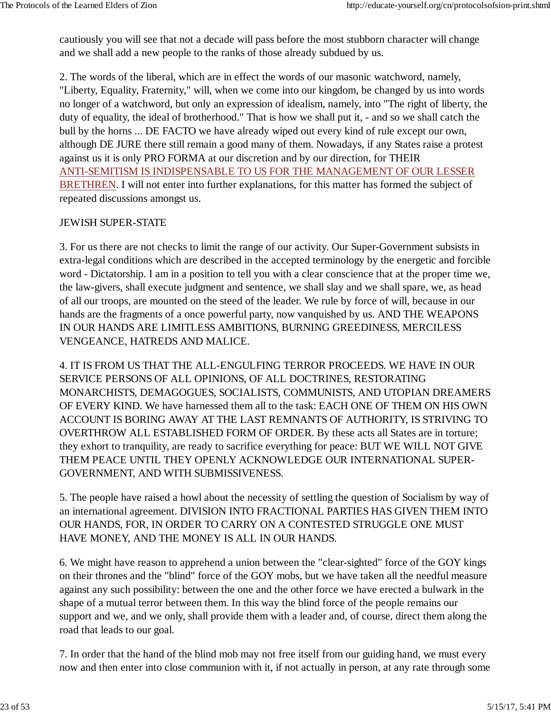cautiously you will see that not a decade will pass before the most stubborn character will change and we shall add a new people to the ranks of those already subdued by us.

2. The words of the liberal, which are in effect the words of our masonic watchword, namely, "Liberty, Equality, Fraternity," will, when we come into our kingdom, be changed by us into words no longer of a watchword, but only an expression of idealism, namely, into "The right of liberty, the duty of equality, the ideal of brotherhood." That is how we shall put it, - and so we shall catch the bull by the horns ... DE FACTO we have already wiped out every kind of rule except our own, although DE JURE there still remain a good many of them. Nowadays, if any States raise a protest against us it is only PRO FORMA at our discretion and by our direction, for THEIR ANTI-SEMITISM IS INDISPENSABLE TO US FOR THE MANAGEMENT OF OUR LESSER BRETHREN. I will not enter into further explanations, for this matter has formed the subject of repeated discussions amongst us.

#### JEWISH SUPER-STATE

3. For us there are not checks to limit the range of our activity. Our Super-Government subsists in extra-legal conditions which are described in the accepted terminology by the energetic and forcible word - Dictatorship. I am in a position to tell you with a clear conscience that at the proper time we, the law-givers, shall execute judgment and sentence, we shall slay and we shall spare, we, as head of all our troops, are mounted on the steed of the leader. We rule by force of will, because in our hands are the fragments of a once powerful party, now vanquished by us. AND THE WEAPONS IN OUR HANDS ARE LIMITLESS AMBITIONS, BURNING GREEDINESS, MERCILESS VENGEANCE, HATREDS AND MALICE.

4. IT IS FROM US THAT THE ALL-ENGULFING TERROR PROCEEDS. WE HAVE IN OUR SERVICE PERSONS OF ALL OPINIONS, OF ALL DOCTRINES, RESTORATING MONARCHISTS, DEMAGOGUES, SOCIALISTS, COMMUNISTS, AND UTOPIAN DREAMERS OF EVERY KIND. We have harnessed them all to the task: EACH ONE OF THEM ON HIS OWN ACCOUNT IS BORING AWAY AT THE LAST REMNANTS OF AUTHORITY, IS STRIVING TO OVERTHROW ALL ESTABLISHED FORM OF ORDER. By these acts all States are in torture; they exhort to tranquility, are ready to sacrifice everything for peace: BUT WE WILL NOT GIVE THEM PEACE UNTIL THEY OPENLY ACKNOWLEDGE OUR INTERNATIONAL SUPER-GOVERNMENT, AND WITH SUBMISSIVENESS.

5. The people have raised a howl about the necessity of settling the question of Socialism by way of an international agreement. DIVISION INTO FRACTIONAL PARTIES HAS GIVEN THEM INTO OUR HANDS, FOR, IN ORDER TO CARRY ON A CONTESTED STRUGGLE ONE MUST HAVE MONEY, AND THE MONEY IS ALL IN OUR HANDS.

6. We might have reason to apprehend a union between the "clear-sighted" force of the GOY kings on their thrones and the "blind" force of the GOY mobs, but we have taken all the needful measure against any such possibility: between the one and the other force we have erected a bulwark in the shape of a mutual terror between them. In this way the blind force of the people remains our support and we, and we only, shall provide them with a leader and, of course, direct them along the road that leads to our goal.

7. In order that the hand of the blind mob may not free itself from our guiding hand, we must every now and then enter into close communion with it, if not actually in person, at any rate through some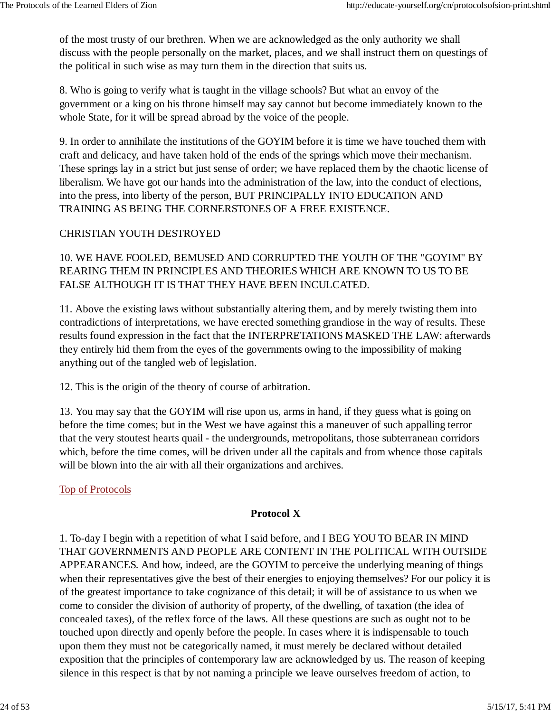of the most trusty of our brethren. When we are acknowledged as the only authority we shall discuss with the people personally on the market, places, and we shall instruct them on questings of the political in such wise as may turn them in the direction that suits us.

8. Who is going to verify what is taught in the village schools? But what an envoy of the government or a king on his throne himself may say cannot but become immediately known to the whole State, for it will be spread abroad by the voice of the people.

9. In order to annihilate the institutions of the GOYIM before it is time we have touched them with craft and delicacy, and have taken hold of the ends of the springs which move their mechanism. These springs lay in a strict but just sense of order; we have replaced them by the chaotic license of liberalism. We have got our hands into the administration of the law, into the conduct of elections, into the press, into liberty of the person, BUT PRINCIPALLY INTO EDUCATION AND TRAINING AS BEING THE CORNERSTONES OF A FREE EXISTENCE.

## CHRISTIAN YOUTH DESTROYED

## 10. WE HAVE FOOLED, BEMUSED AND CORRUPTED THE YOUTH OF THE "GOYIM" BY REARING THEM IN PRINCIPLES AND THEORIES WHICH ARE KNOWN TO US TO BE FALSE ALTHOUGH IT IS THAT THEY HAVE BEEN INCULCATED.

11. Above the existing laws without substantially altering them, and by merely twisting them into contradictions of interpretations, we have erected something grandiose in the way of results. These results found expression in the fact that the INTERPRETATIONS MASKED THE LAW: afterwards they entirely hid them from the eyes of the governments owing to the impossibility of making anything out of the tangled web of legislation.

12. This is the origin of the theory of course of arbitration.

13. You may say that the GOYIM will rise upon us, arms in hand, if they guess what is going on before the time comes; but in the West we have against this a maneuver of such appalling terror that the very stoutest hearts quail - the undergrounds, metropolitans, those subterranean corridors which, before the time comes, will be driven under all the capitals and from whence those capitals will be blown into the air with all their organizations and archives.

## Top of Protocols

## **Protocol X**

1. To-day I begin with a repetition of what I said before, and I BEG YOU TO BEAR IN MIND THAT GOVERNMENTS AND PEOPLE ARE CONTENT IN THE POLITICAL WITH OUTSIDE APPEARANCES. And how, indeed, are the GOYIM to perceive the underlying meaning of things when their representatives give the best of their energies to enjoying themselves? For our policy it is of the greatest importance to take cognizance of this detail; it will be of assistance to us when we come to consider the division of authority of property, of the dwelling, of taxation (the idea of concealed taxes), of the reflex force of the laws. All these questions are such as ought not to be touched upon directly and openly before the people. In cases where it is indispensable to touch upon them they must not be categorically named, it must merely be declared without detailed exposition that the principles of contemporary law are acknowledged by us. The reason of keeping silence in this respect is that by not naming a principle we leave ourselves freedom of action, to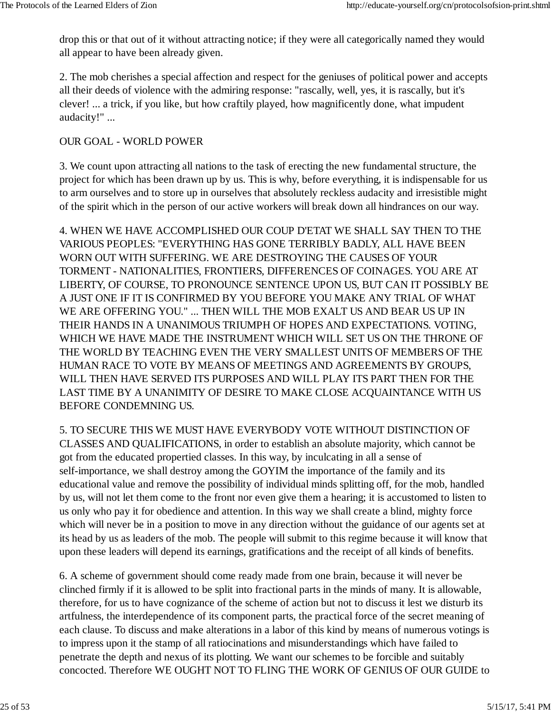drop this or that out of it without attracting notice; if they were all categorically named they would all appear to have been already given.

2. The mob cherishes a special affection and respect for the geniuses of political power and accepts all their deeds of violence with the admiring response: "rascally, well, yes, it is rascally, but it's clever! ... a trick, if you like, but how craftily played, how magnificently done, what impudent audacity!" ...

#### OUR GOAL - WORLD POWER

3. We count upon attracting all nations to the task of erecting the new fundamental structure, the project for which has been drawn up by us. This is why, before everything, it is indispensable for us to arm ourselves and to store up in ourselves that absolutely reckless audacity and irresistible might of the spirit which in the person of our active workers will break down all hindrances on our way.

4. WHEN WE HAVE ACCOMPLISHED OUR COUP D'ETAT WE SHALL SAY THEN TO THE VARIOUS PEOPLES: "EVERYTHING HAS GONE TERRIBLY BADLY, ALL HAVE BEEN WORN OUT WITH SUFFERING. WE ARE DESTROYING THE CAUSES OF YOUR TORMENT - NATIONALITIES, FRONTIERS, DIFFERENCES OF COINAGES. YOU ARE AT LIBERTY, OF COURSE, TO PRONOUNCE SENTENCE UPON US, BUT CAN IT POSSIBLY BE A JUST ONE IF IT IS CONFIRMED BY YOU BEFORE YOU MAKE ANY TRIAL OF WHAT WE ARE OFFERING YOU." ... THEN WILL THE MOB EXALT US AND BEAR US UP IN THEIR HANDS IN A UNANIMOUS TRIUMPH OF HOPES AND EXPECTATIONS. VOTING, WHICH WE HAVE MADE THE INSTRUMENT WHICH WILL SET US ON THE THRONE OF THE WORLD BY TEACHING EVEN THE VERY SMALLEST UNITS OF MEMBERS OF THE HUMAN RACE TO VOTE BY MEANS OF MEETINGS AND AGREEMENTS BY GROUPS, WILL THEN HAVE SERVED ITS PURPOSES AND WILL PLAY ITS PART THEN FOR THE LAST TIME BY A UNANIMITY OF DESIRE TO MAKE CLOSE ACQUAINTANCE WITH US BEFORE CONDEMNING US.

5. TO SECURE THIS WE MUST HAVE EVERYBODY VOTE WITHOUT DISTINCTION OF

CLASSES AND QUALIFICATIONS, in order to establish an absolute majority, which cannot be got from the educated propertied classes. In this way, by inculcating in all a sense of self-importance, we shall destroy among the GOYIM the importance of the family and its educational value and remove the possibility of individual minds splitting off, for the mob, handled by us, will not let them come to the front nor even give them a hearing; it is accustomed to listen to us only who pay it for obedience and attention. In this way we shall create a blind, mighty force which will never be in a position to move in any direction without the guidance of our agents set at its head by us as leaders of the mob. The people will submit to this regime because it will know that upon these leaders will depend its earnings, gratifications and the receipt of all kinds of benefits.

6. A scheme of government should come ready made from one brain, because it will never be clinched firmly if it is allowed to be split into fractional parts in the minds of many. It is allowable, therefore, for us to have cognizance of the scheme of action but not to discuss it lest we disturb its artfulness, the interdependence of its component parts, the practical force of the secret meaning of each clause. To discuss and make alterations in a labor of this kind by means of numerous votings is to impress upon it the stamp of all ratiocinations and misunderstandings which have failed to penetrate the depth and nexus of its plotting. We want our schemes to be forcible and suitably concocted. Therefore WE OUGHT NOT TO FLING THE WORK OF GENIUS OF OUR GUIDE to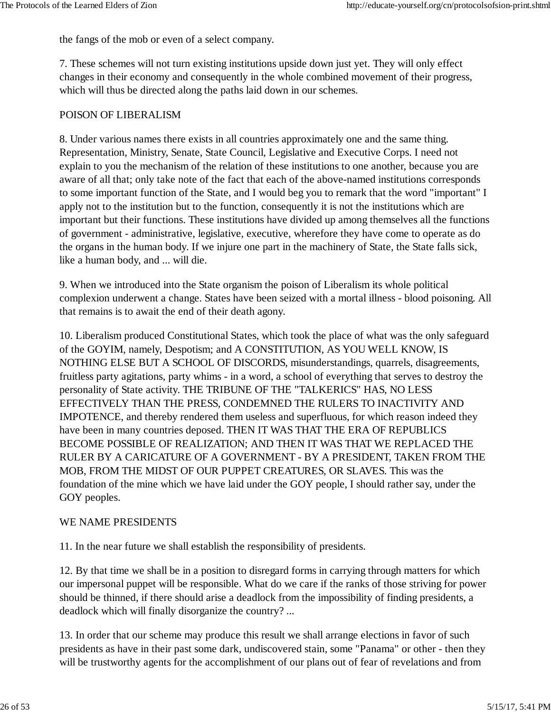the fangs of the mob or even of a select company.

7. These schemes will not turn existing institutions upside down just yet. They will only effect changes in their economy and consequently in the whole combined movement of their progress, which will thus be directed along the paths laid down in our schemes.

#### POISON OF LIBERALISM

8. Under various names there exists in all countries approximately one and the same thing. Representation, Ministry, Senate, State Council, Legislative and Executive Corps. I need not explain to you the mechanism of the relation of these institutions to one another, because you are aware of all that; only take note of the fact that each of the above-named institutions corresponds to some important function of the State, and I would beg you to remark that the word "important" I apply not to the institution but to the function, consequently it is not the institutions which are important but their functions. These institutions have divided up among themselves all the functions of government - administrative, legislative, executive, wherefore they have come to operate as do the organs in the human body. If we injure one part in the machinery of State, the State falls sick, like a human body, and ... will die.

9. When we introduced into the State organism the poison of Liberalism its whole political complexion underwent a change. States have been seized with a mortal illness - blood poisoning. All that remains is to await the end of their death agony.

10. Liberalism produced Constitutional States, which took the place of what was the only safeguard of the GOYIM, namely, Despotism; and A CONSTITUTION, AS YOU WELL KNOW, IS NOTHING ELSE BUT A SCHOOL OF DISCORDS, misunderstandings, quarrels, disagreements, fruitless party agitations, party whims - in a word, a school of everything that serves to destroy the personality of State activity. THE TRIBUNE OF THE "TALKERICS" HAS, NO LESS EFFECTIVELY THAN THE PRESS, CONDEMNED THE RULERS TO INACTIVITY AND IMPOTENCE, and thereby rendered them useless and superfluous, for which reason indeed they have been in many countries deposed. THEN IT WAS THAT THE ERA OF REPUBLICS BECOME POSSIBLE OF REALIZATION; AND THEN IT WAS THAT WE REPLACED THE RULER BY A CARICATURE OF A GOVERNMENT - BY A PRESIDENT, TAKEN FROM THE MOB, FROM THE MIDST OF OUR PUPPET CREATURES, OR SLAVES. This was the foundation of the mine which we have laid under the GOY people, I should rather say, under the GOY peoples.

#### WE NAME PRESIDENTS

11. In the near future we shall establish the responsibility of presidents.

12. By that time we shall be in a position to disregard forms in carrying through matters for which our impersonal puppet will be responsible. What do we care if the ranks of those striving for power should be thinned, if there should arise a deadlock from the impossibility of finding presidents, a deadlock which will finally disorganize the country? ...

13. In order that our scheme may produce this result we shall arrange elections in favor of such presidents as have in their past some dark, undiscovered stain, some "Panama" or other - then they will be trustworthy agents for the accomplishment of our plans out of fear of revelations and from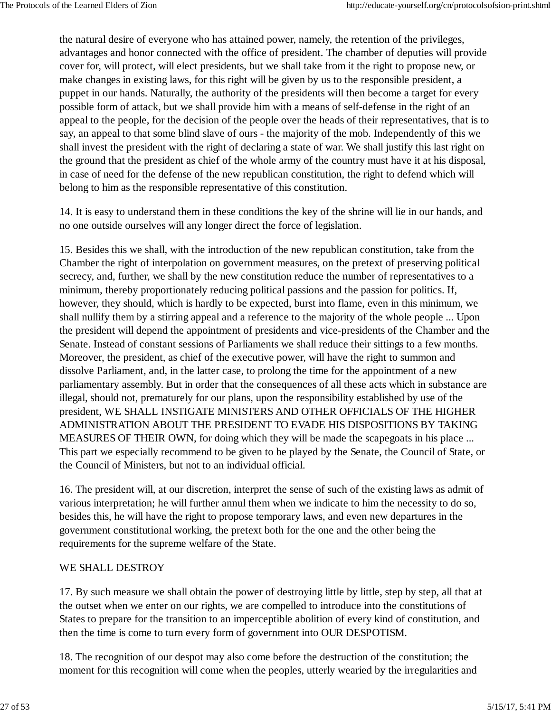the natural desire of everyone who has attained power, namely, the retention of the privileges, advantages and honor connected with the office of president. The chamber of deputies will provide cover for, will protect, will elect presidents, but we shall take from it the right to propose new, or make changes in existing laws, for this right will be given by us to the responsible president, a puppet in our hands. Naturally, the authority of the presidents will then become a target for every possible form of attack, but we shall provide him with a means of self-defense in the right of an appeal to the people, for the decision of the people over the heads of their representatives, that is to say, an appeal to that some blind slave of ours - the majority of the mob. Independently of this we shall invest the president with the right of declaring a state of war. We shall justify this last right on the ground that the president as chief of the whole army of the country must have it at his disposal, in case of need for the defense of the new republican constitution, the right to defend which will belong to him as the responsible representative of this constitution.

14. It is easy to understand them in these conditions the key of the shrine will lie in our hands, and no one outside ourselves will any longer direct the force of legislation.

15. Besides this we shall, with the introduction of the new republican constitution, take from the Chamber the right of interpolation on government measures, on the pretext of preserving political secrecy, and, further, we shall by the new constitution reduce the number of representatives to a minimum, thereby proportionately reducing political passions and the passion for politics. If, however, they should, which is hardly to be expected, burst into flame, even in this minimum, we shall nullify them by a stirring appeal and a reference to the majority of the whole people ... Upon the president will depend the appointment of presidents and vice-presidents of the Chamber and the Senate. Instead of constant sessions of Parliaments we shall reduce their sittings to a few months. Moreover, the president, as chief of the executive power, will have the right to summon and dissolve Parliament, and, in the latter case, to prolong the time for the appointment of a new parliamentary assembly. But in order that the consequences of all these acts which in substance are illegal, should not, prematurely for our plans, upon the responsibility established by use of the president, WE SHALL INSTIGATE MINISTERS AND OTHER OFFICIALS OF THE HIGHER ADMINISTRATION ABOUT THE PRESIDENT TO EVADE HIS DISPOSITIONS BY TAKING MEASURES OF THEIR OWN, for doing which they will be made the scapegoats in his place ... This part we especially recommend to be given to be played by the Senate, the Council of State, or the Council of Ministers, but not to an individual official.

16. The president will, at our discretion, interpret the sense of such of the existing laws as admit of various interpretation; he will further annul them when we indicate to him the necessity to do so, besides this, he will have the right to propose temporary laws, and even new departures in the government constitutional working, the pretext both for the one and the other being the requirements for the supreme welfare of the State.

#### WE SHALL DESTROY

17. By such measure we shall obtain the power of destroying little by little, step by step, all that at the outset when we enter on our rights, we are compelled to introduce into the constitutions of States to prepare for the transition to an imperceptible abolition of every kind of constitution, and then the time is come to turn every form of government into OUR DESPOTISM.

18. The recognition of our despot may also come before the destruction of the constitution; the moment for this recognition will come when the peoples, utterly wearied by the irregularities and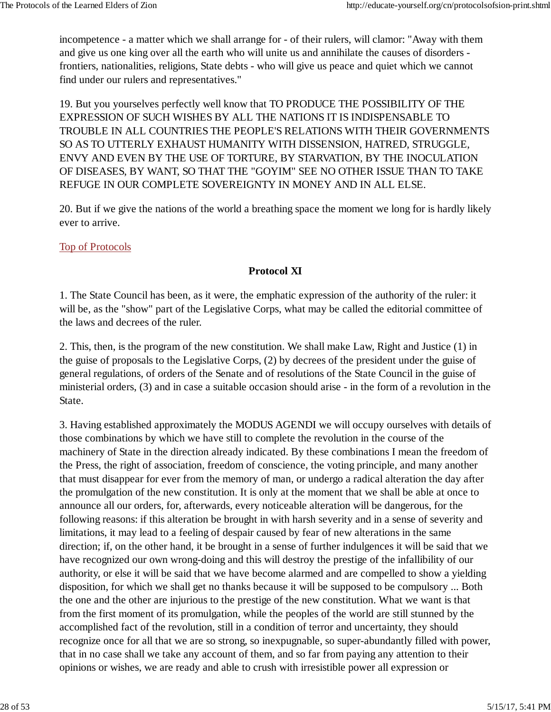incompetence - a matter which we shall arrange for - of their rulers, will clamor: "Away with them and give us one king over all the earth who will unite us and annihilate the causes of disorders frontiers, nationalities, religions, State debts - who will give us peace and quiet which we cannot find under our rulers and representatives."

19. But you yourselves perfectly well know that TO PRODUCE THE POSSIBILITY OF THE EXPRESSION OF SUCH WISHES BY ALL THE NATIONS IT IS INDISPENSABLE TO TROUBLE IN ALL COUNTRIES THE PEOPLE'S RELATIONS WITH THEIR GOVERNMENTS SO AS TO UTTERLY EXHAUST HUMANITY WITH DISSENSION, HATRED, STRUGGLE, ENVY AND EVEN BY THE USE OF TORTURE, BY STARVATION, BY THE INOCULATION OF DISEASES, BY WANT, SO THAT THE "GOYIM" SEE NO OTHER ISSUE THAN TO TAKE REFUGE IN OUR COMPLETE SOVEREIGNTY IN MONEY AND IN ALL ELSE.

20. But if we give the nations of the world a breathing space the moment we long for is hardly likely ever to arrive.

#### Top of Protocols

#### **Protocol XI**

1. The State Council has been, as it were, the emphatic expression of the authority of the ruler: it will be, as the "show" part of the Legislative Corps, what may be called the editorial committee of the laws and decrees of the ruler.

2. This, then, is the program of the new constitution. We shall make Law, Right and Justice (1) in the guise of proposals to the Legislative Corps, (2) by decrees of the president under the guise of general regulations, of orders of the Senate and of resolutions of the State Council in the guise of ministerial orders, (3) and in case a suitable occasion should arise - in the form of a revolution in the State.

3. Having established approximately the MODUS AGENDI we will occupy ourselves with details of those combinations by which we have still to complete the revolution in the course of the machinery of State in the direction already indicated. By these combinations I mean the freedom of the Press, the right of association, freedom of conscience, the voting principle, and many another that must disappear for ever from the memory of man, or undergo a radical alteration the day after the promulgation of the new constitution. It is only at the moment that we shall be able at once to announce all our orders, for, afterwards, every noticeable alteration will be dangerous, for the following reasons: if this alteration be brought in with harsh severity and in a sense of severity and limitations, it may lead to a feeling of despair caused by fear of new alterations in the same direction; if, on the other hand, it be brought in a sense of further indulgences it will be said that we have recognized our own wrong-doing and this will destroy the prestige of the infallibility of our authority, or else it will be said that we have become alarmed and are compelled to show a yielding disposition, for which we shall get no thanks because it will be supposed to be compulsory ... Both the one and the other are injurious to the prestige of the new constitution. What we want is that from the first moment of its promulgation, while the peoples of the world are still stunned by the accomplished fact of the revolution, still in a condition of terror and uncertainty, they should recognize once for all that we are so strong, so inexpugnable, so super-abundantly filled with power, that in no case shall we take any account of them, and so far from paying any attention to their opinions or wishes, we are ready and able to crush with irresistible power all expression or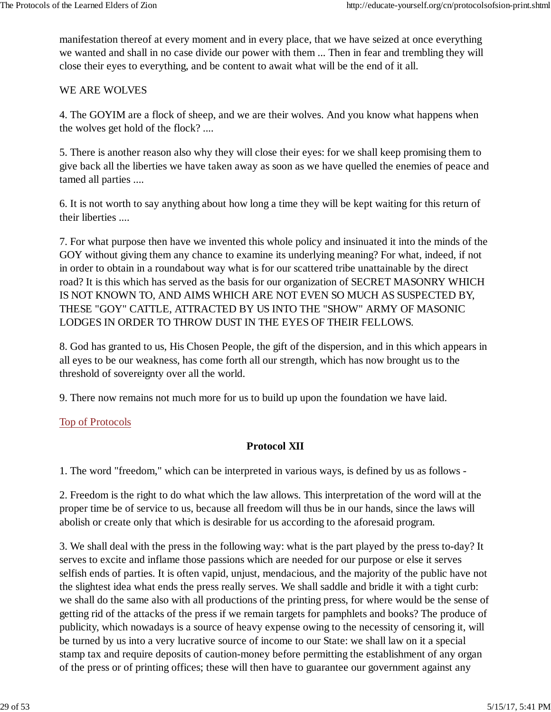manifestation thereof at every moment and in every place, that we have seized at once everything we wanted and shall in no case divide our power with them ... Then in fear and trembling they will close their eyes to everything, and be content to await what will be the end of it all.

#### WE ARE WOLVES

4. The GOYIM are a flock of sheep, and we are their wolves. And you know what happens when the wolves get hold of the flock? ....

5. There is another reason also why they will close their eyes: for we shall keep promising them to give back all the liberties we have taken away as soon as we have quelled the enemies of peace and tamed all parties ....

6. It is not worth to say anything about how long a time they will be kept waiting for this return of their liberties ....

7. For what purpose then have we invented this whole policy and insinuated it into the minds of the GOY without giving them any chance to examine its underlying meaning? For what, indeed, if not in order to obtain in a roundabout way what is for our scattered tribe unattainable by the direct road? It is this which has served as the basis for our organization of SECRET MASONRY WHICH IS NOT KNOWN TO, AND AIMS WHICH ARE NOT EVEN SO MUCH AS SUSPECTED BY, THESE "GOY" CATTLE, ATTRACTED BY US INTO THE "SHOW" ARMY OF MASONIC LODGES IN ORDER TO THROW DUST IN THE EYES OF THEIR FELLOWS.

8. God has granted to us, His Chosen People, the gift of the dispersion, and in this which appears in all eyes to be our weakness, has come forth all our strength, which has now brought us to the threshold of sovereignty over all the world.

9. There now remains not much more for us to build up upon the foundation we have laid.

Top of Protocols

## **Protocol XII**

1. The word "freedom," which can be interpreted in various ways, is defined by us as follows -

2. Freedom is the right to do what which the law allows. This interpretation of the word will at the proper time be of service to us, because all freedom will thus be in our hands, since the laws will abolish or create only that which is desirable for us according to the aforesaid program.

3. We shall deal with the press in the following way: what is the part played by the press to-day? It serves to excite and inflame those passions which are needed for our purpose or else it serves selfish ends of parties. It is often vapid, unjust, mendacious, and the majority of the public have not the slightest idea what ends the press really serves. We shall saddle and bridle it with a tight curb: we shall do the same also with all productions of the printing press, for where would be the sense of getting rid of the attacks of the press if we remain targets for pamphlets and books? The produce of publicity, which nowadays is a source of heavy expense owing to the necessity of censoring it, will be turned by us into a very lucrative source of income to our State: we shall law on it a special stamp tax and require deposits of caution-money before permitting the establishment of any organ of the press or of printing offices; these will then have to guarantee our government against any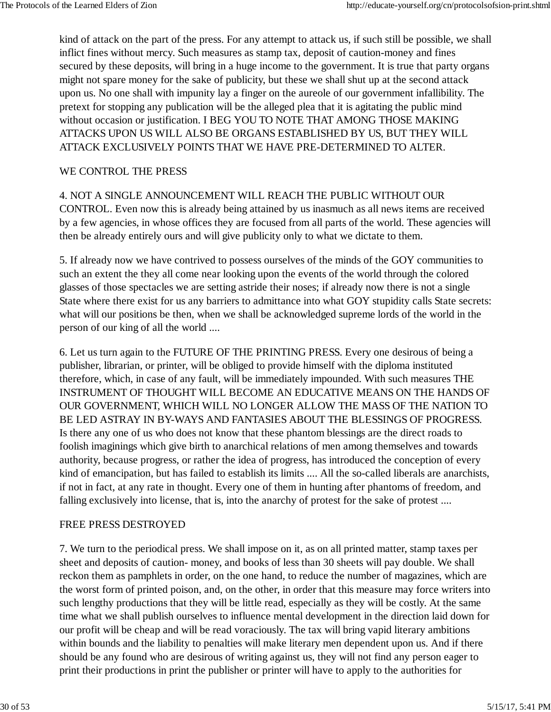kind of attack on the part of the press. For any attempt to attack us, if such still be possible, we shall inflict fines without mercy. Such measures as stamp tax, deposit of caution-money and fines secured by these deposits, will bring in a huge income to the government. It is true that party organs might not spare money for the sake of publicity, but these we shall shut up at the second attack upon us. No one shall with impunity lay a finger on the aureole of our government infallibility. The pretext for stopping any publication will be the alleged plea that it is agitating the public mind without occasion or justification. I BEG YOU TO NOTE THAT AMONG THOSE MAKING ATTACKS UPON US WILL ALSO BE ORGANS ESTABLISHED BY US, BUT THEY WILL ATTACK EXCLUSIVELY POINTS THAT WE HAVE PRE-DETERMINED TO ALTER.

### WE CONTROL THE PRESS

#### 4. NOT A SINGLE ANNOUNCEMENT WILL REACH THE PUBLIC WITHOUT OUR

CONTROL. Even now this is already being attained by us inasmuch as all news items are received by a few agencies, in whose offices they are focused from all parts of the world. These agencies will then be already entirely ours and will give publicity only to what we dictate to them.

5. If already now we have contrived to possess ourselves of the minds of the GOY communities to such an extent the they all come near looking upon the events of the world through the colored glasses of those spectacles we are setting astride their noses; if already now there is not a single State where there exist for us any barriers to admittance into what GOY stupidity calls State secrets: what will our positions be then, when we shall be acknowledged supreme lords of the world in the person of our king of all the world ....

6. Let us turn again to the FUTURE OF THE PRINTING PRESS. Every one desirous of being a publisher, librarian, or printer, will be obliged to provide himself with the diploma instituted therefore, which, in case of any fault, will be immediately impounded. With such measures THE INSTRUMENT OF THOUGHT WILL BECOME AN EDUCATIVE MEANS ON THE HANDS OF OUR GOVERNMENT, WHICH WILL NO LONGER ALLOW THE MASS OF THE NATION TO BE LED ASTRAY IN BY-WAYS AND FANTASIES ABOUT THE BLESSINGS OF PROGRESS. Is there any one of us who does not know that these phantom blessings are the direct roads to foolish imaginings which give birth to anarchical relations of men among themselves and towards authority, because progress, or rather the idea of progress, has introduced the conception of every kind of emancipation, but has failed to establish its limits .... All the so-called liberals are anarchists, if not in fact, at any rate in thought. Every one of them in hunting after phantoms of freedom, and falling exclusively into license, that is, into the anarchy of protest for the sake of protest ....

#### FREE PRESS DESTROYED

7. We turn to the periodical press. We shall impose on it, as on all printed matter, stamp taxes per sheet and deposits of caution- money, and books of less than 30 sheets will pay double. We shall reckon them as pamphlets in order, on the one hand, to reduce the number of magazines, which are the worst form of printed poison, and, on the other, in order that this measure may force writers into such lengthy productions that they will be little read, especially as they will be costly. At the same time what we shall publish ourselves to influence mental development in the direction laid down for our profit will be cheap and will be read voraciously. The tax will bring vapid literary ambitions within bounds and the liability to penalties will make literary men dependent upon us. And if there should be any found who are desirous of writing against us, they will not find any person eager to print their productions in print the publisher or printer will have to apply to the authorities for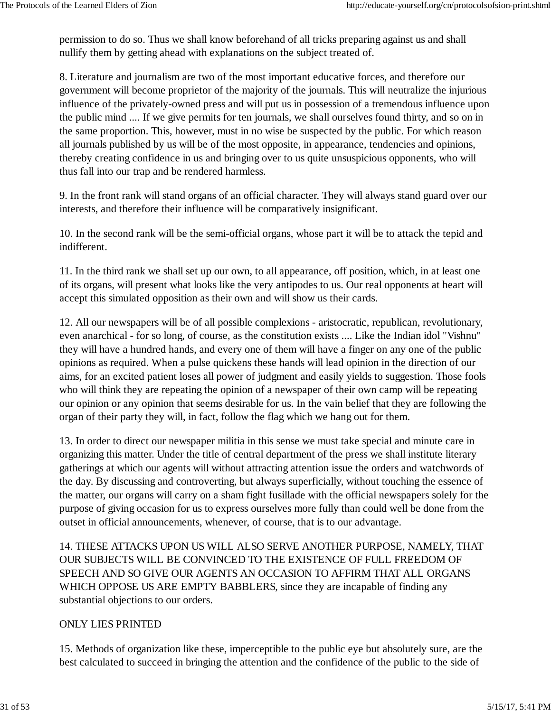permission to do so. Thus we shall know beforehand of all tricks preparing against us and shall nullify them by getting ahead with explanations on the subject treated of.

8. Literature and journalism are two of the most important educative forces, and therefore our government will become proprietor of the majority of the journals. This will neutralize the injurious influence of the privately-owned press and will put us in possession of a tremendous influence upon the public mind .... If we give permits for ten journals, we shall ourselves found thirty, and so on in the same proportion. This, however, must in no wise be suspected by the public. For which reason all journals published by us will be of the most opposite, in appearance, tendencies and opinions, thereby creating confidence in us and bringing over to us quite unsuspicious opponents, who will thus fall into our trap and be rendered harmless.

9. In the front rank will stand organs of an official character. They will always stand guard over our interests, and therefore their influence will be comparatively insignificant.

10. In the second rank will be the semi-official organs, whose part it will be to attack the tepid and indifferent.

11. In the third rank we shall set up our own, to all appearance, off position, which, in at least one of its organs, will present what looks like the very antipodes to us. Our real opponents at heart will accept this simulated opposition as their own and will show us their cards.

12. All our newspapers will be of all possible complexions - aristocratic, republican, revolutionary, even anarchical - for so long, of course, as the constitution exists .... Like the Indian idol "Vishnu" they will have a hundred hands, and every one of them will have a finger on any one of the public opinions as required. When a pulse quickens these hands will lead opinion in the direction of our aims, for an excited patient loses all power of judgment and easily yields to suggestion. Those fools who will think they are repeating the opinion of a newspaper of their own camp will be repeating our opinion or any opinion that seems desirable for us. In the vain belief that they are following the organ of their party they will, in fact, follow the flag which we hang out for them.

13. In order to direct our newspaper militia in this sense we must take special and minute care in organizing this matter. Under the title of central department of the press we shall institute literary gatherings at which our agents will without attracting attention issue the orders and watchwords of the day. By discussing and controverting, but always superficially, without touching the essence of the matter, our organs will carry on a sham fight fusillade with the official newspapers solely for the purpose of giving occasion for us to express ourselves more fully than could well be done from the outset in official announcements, whenever, of course, that is to our advantage.

14. THESE ATTACKS UPON US WILL ALSO SERVE ANOTHER PURPOSE, NAMELY, THAT OUR SUBJECTS WILL BE CONVINCED TO THE EXISTENCE OF FULL FREEDOM OF SPEECH AND SO GIVE OUR AGENTS AN OCCASION TO AFFIRM THAT ALL ORGANS WHICH OPPOSE US ARE EMPTY BABBLERS, since they are incapable of finding any substantial objections to our orders.

## ONLY LIES PRINTED

15. Methods of organization like these, imperceptible to the public eye but absolutely sure, are the best calculated to succeed in bringing the attention and the confidence of the public to the side of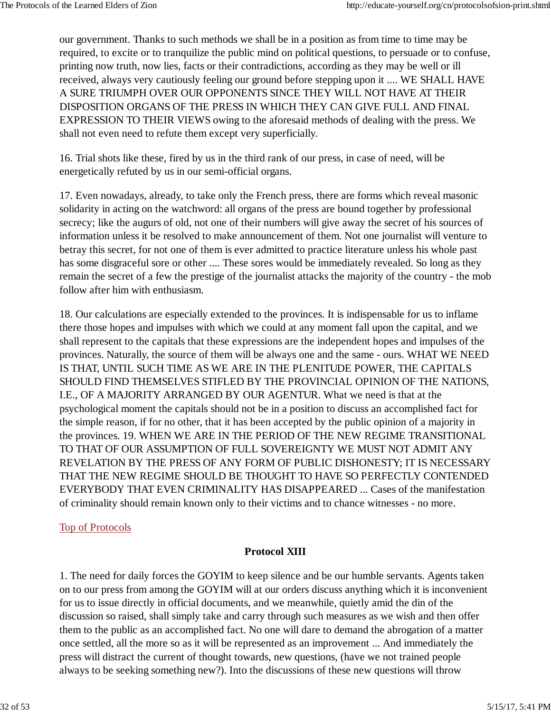our government. Thanks to such methods we shall be in a position as from time to time may be required, to excite or to tranquilize the public mind on political questions, to persuade or to confuse, printing now truth, now lies, facts or their contradictions, according as they may be well or ill received, always very cautiously feeling our ground before stepping upon it .... WE SHALL HAVE A SURE TRIUMPH OVER OUR OPPONENTS SINCE THEY WILL NOT HAVE AT THEIR DISPOSITION ORGANS OF THE PRESS IN WHICH THEY CAN GIVE FULL AND FINAL EXPRESSION TO THEIR VIEWS owing to the aforesaid methods of dealing with the press. We shall not even need to refute them except very superficially.

16. Trial shots like these, fired by us in the third rank of our press, in case of need, will be energetically refuted by us in our semi-official organs.

17. Even nowadays, already, to take only the French press, there are forms which reveal masonic solidarity in acting on the watchword: all organs of the press are bound together by professional secrecy; like the augurs of old, not one of their numbers will give away the secret of his sources of information unless it be resolved to make announcement of them. Not one journalist will venture to betray this secret, for not one of them is ever admitted to practice literature unless his whole past has some disgraceful sore or other .... These sores would be immediately revealed. So long as they remain the secret of a few the prestige of the journalist attacks the majority of the country - the mob follow after him with enthusiasm.

18. Our calculations are especially extended to the provinces. It is indispensable for us to inflame there those hopes and impulses with which we could at any moment fall upon the capital, and we shall represent to the capitals that these expressions are the independent hopes and impulses of the provinces. Naturally, the source of them will be always one and the same - ours. WHAT WE NEED IS THAT, UNTIL SUCH TIME AS WE ARE IN THE PLENITUDE POWER, THE CAPITALS SHOULD FIND THEMSELVES STIFLED BY THE PROVINCIAL OPINION OF THE NATIONS, I.E., OF A MAJORITY ARRANGED BY OUR AGENTUR. What we need is that at the psychological moment the capitals should not be in a position to discuss an accomplished fact for the simple reason, if for no other, that it has been accepted by the public opinion of a majority in the provinces. 19. WHEN WE ARE IN THE PERIOD OF THE NEW REGIME TRANSITIONAL TO THAT OF OUR ASSUMPTION OF FULL SOVEREIGNTY WE MUST NOT ADMIT ANY REVELATION BY THE PRESS OF ANY FORM OF PUBLIC DISHONESTY; IT IS NECESSARY THAT THE NEW REGIME SHOULD BE THOUGHT TO HAVE SO PERFECTLY CONTENDED EVERYBODY THAT EVEN CRIMINALITY HAS DISAPPEARED ... Cases of the manifestation of criminality should remain known only to their victims and to chance witnesses - no more.

#### Top of Protocols

## **Protocol XIII**

1. The need for daily forces the GOYIM to keep silence and be our humble servants. Agents taken on to our press from among the GOYIM will at our orders discuss anything which it is inconvenient for us to issue directly in official documents, and we meanwhile, quietly amid the din of the discussion so raised, shall simply take and carry through such measures as we wish and then offer them to the public as an accomplished fact. No one will dare to demand the abrogation of a matter once settled, all the more so as it will be represented as an improvement ... And immediately the press will distract the current of thought towards, new questions, (have we not trained people always to be seeking something new?). Into the discussions of these new questions will throw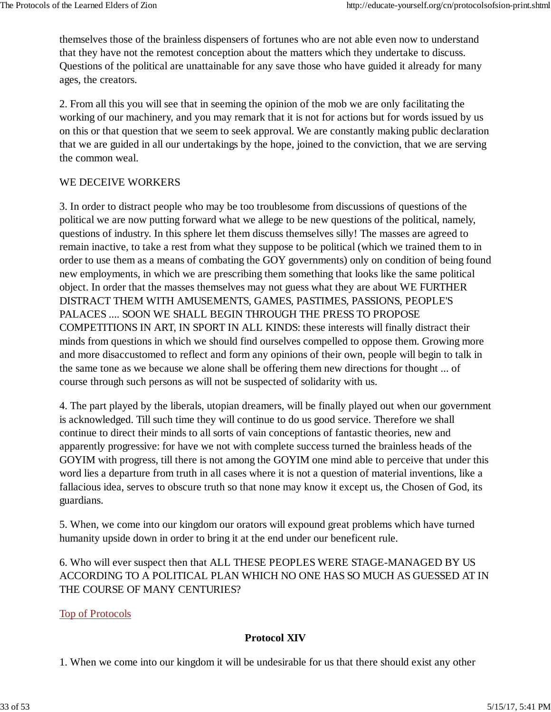themselves those of the brainless dispensers of fortunes who are not able even now to understand that they have not the remotest conception about the matters which they undertake to discuss. Questions of the political are unattainable for any save those who have guided it already for many ages, the creators.

2. From all this you will see that in seeming the opinion of the mob we are only facilitating the working of our machinery, and you may remark that it is not for actions but for words issued by us on this or that question that we seem to seek approval. We are constantly making public declaration that we are guided in all our undertakings by the hope, joined to the conviction, that we are serving the common weal.

#### WE DECEIVE WORKERS

3. In order to distract people who may be too troublesome from discussions of questions of the political we are now putting forward what we allege to be new questions of the political, namely, questions of industry. In this sphere let them discuss themselves silly! The masses are agreed to remain inactive, to take a rest from what they suppose to be political (which we trained them to in order to use them as a means of combating the GOY governments) only on condition of being found new employments, in which we are prescribing them something that looks like the same political object. In order that the masses themselves may not guess what they are about WE FURTHER DISTRACT THEM WITH AMUSEMENTS, GAMES, PASTIMES, PASSIONS, PEOPLE'S PALACES .... SOON WE SHALL BEGIN THROUGH THE PRESS TO PROPOSE COMPETITIONS IN ART, IN SPORT IN ALL KINDS: these interests will finally distract their minds from questions in which we should find ourselves compelled to oppose them. Growing more and more disaccustomed to reflect and form any opinions of their own, people will begin to talk in the same tone as we because we alone shall be offering them new directions for thought ... of course through such persons as will not be suspected of solidarity with us.

4. The part played by the liberals, utopian dreamers, will be finally played out when our government is acknowledged. Till such time they will continue to do us good service. Therefore we shall continue to direct their minds to all sorts of vain conceptions of fantastic theories, new and apparently progressive: for have we not with complete success turned the brainless heads of the GOYIM with progress, till there is not among the GOYIM one mind able to perceive that under this word lies a departure from truth in all cases where it is not a question of material inventions, like a fallacious idea, serves to obscure truth so that none may know it except us, the Chosen of God, its guardians.

5. When, we come into our kingdom our orators will expound great problems which have turned humanity upside down in order to bring it at the end under our beneficent rule.

6. Who will ever suspect then that ALL THESE PEOPLES WERE STAGE-MANAGED BY US ACCORDING TO A POLITICAL PLAN WHICH NO ONE HAS SO MUCH AS GUESSED AT IN THE COURSE OF MANY CENTURIES?

## Top of Protocols

## **Protocol XIV**

1. When we come into our kingdom it will be undesirable for us that there should exist any other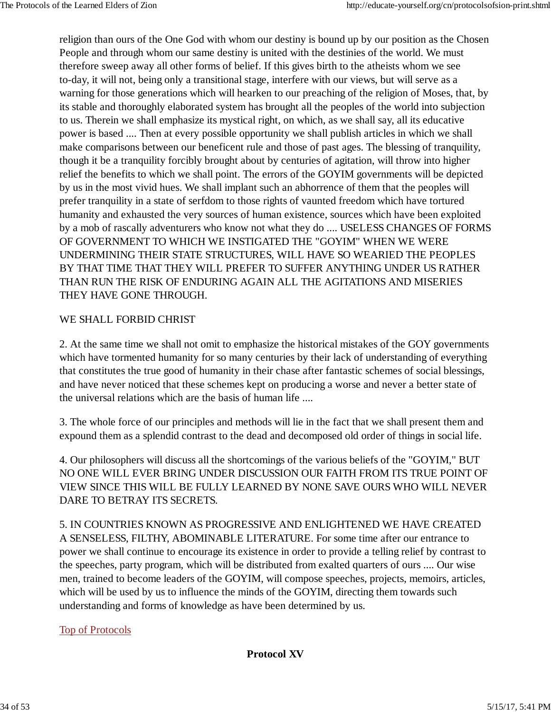religion than ours of the One God with whom our destiny is bound up by our position as the Chosen People and through whom our same destiny is united with the destinies of the world. We must therefore sweep away all other forms of belief. If this gives birth to the atheists whom we see to-day, it will not, being only a transitional stage, interfere with our views, but will serve as a warning for those generations which will hearken to our preaching of the religion of Moses, that, by its stable and thoroughly elaborated system has brought all the peoples of the world into subjection to us. Therein we shall emphasize its mystical right, on which, as we shall say, all its educative power is based .... Then at every possible opportunity we shall publish articles in which we shall make comparisons between our beneficent rule and those of past ages. The blessing of tranquility, though it be a tranquility forcibly brought about by centuries of agitation, will throw into higher relief the benefits to which we shall point. The errors of the GOYIM governments will be depicted by us in the most vivid hues. We shall implant such an abhorrence of them that the peoples will prefer tranquility in a state of serfdom to those rights of vaunted freedom which have tortured humanity and exhausted the very sources of human existence, sources which have been exploited by a mob of rascally adventurers who know not what they do .... USELESS CHANGES OF FORMS OF GOVERNMENT TO WHICH WE INSTIGATED THE "GOYIM" WHEN WE WERE UNDERMINING THEIR STATE STRUCTURES, WILL HAVE SO WEARIED THE PEOPLES BY THAT TIME THAT THEY WILL PREFER TO SUFFER ANYTHING UNDER US RATHER THAN RUN THE RISK OF ENDURING AGAIN ALL THE AGITATIONS AND MISERIES THEY HAVE GONE THROUGH.

### WE SHALL FORBID CHRIST

2. At the same time we shall not omit to emphasize the historical mistakes of the GOY governments which have tormented humanity for so many centuries by their lack of understanding of everything that constitutes the true good of humanity in their chase after fantastic schemes of social blessings, and have never noticed that these schemes kept on producing a worse and never a better state of the universal relations which are the basis of human life ....

3. The whole force of our principles and methods will lie in the fact that we shall present them and expound them as a splendid contrast to the dead and decomposed old order of things in social life.

4. Our philosophers will discuss all the shortcomings of the various beliefs of the "GOYIM," BUT NO ONE WILL EVER BRING UNDER DISCUSSION OUR FAITH FROM ITS TRUE POINT OF VIEW SINCE THIS WILL BE FULLY LEARNED BY NONE SAVE OURS WHO WILL NEVER DARE TO BETRAY ITS SECRETS.

5. IN COUNTRIES KNOWN AS PROGRESSIVE AND ENLIGHTENED WE HAVE CREATED A SENSELESS, FILTHY, ABOMINABLE LITERATURE. For some time after our entrance to power we shall continue to encourage its existence in order to provide a telling relief by contrast to the speeches, party program, which will be distributed from exalted quarters of ours .... Our wise men, trained to become leaders of the GOYIM, will compose speeches, projects, memoirs, articles, which will be used by us to influence the minds of the GOYIM, directing them towards such understanding and forms of knowledge as have been determined by us.

Top of Protocols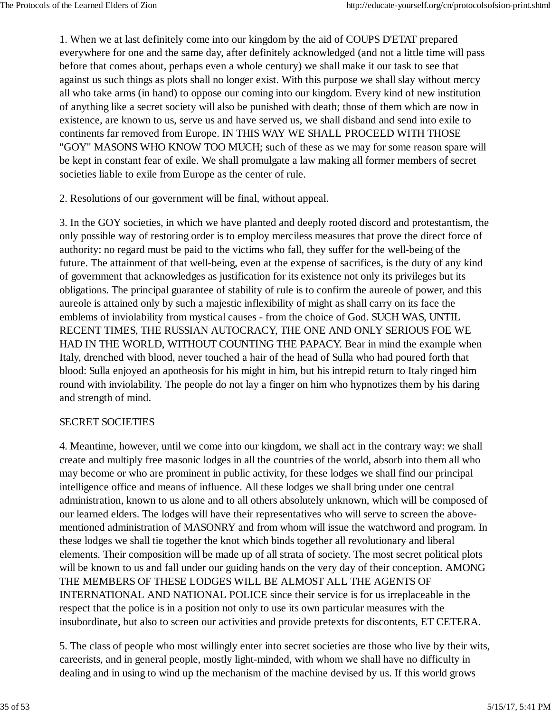1. When we at last definitely come into our kingdom by the aid of COUPS D'ETAT prepared everywhere for one and the same day, after definitely acknowledged (and not a little time will pass before that comes about, perhaps even a whole century) we shall make it our task to see that against us such things as plots shall no longer exist. With this purpose we shall slay without mercy all who take arms (in hand) to oppose our coming into our kingdom. Every kind of new institution of anything like a secret society will also be punished with death; those of them which are now in existence, are known to us, serve us and have served us, we shall disband and send into exile to continents far removed from Europe. IN THIS WAY WE SHALL PROCEED WITH THOSE "GOY" MASONS WHO KNOW TOO MUCH; such of these as we may for some reason spare will be kept in constant fear of exile. We shall promulgate a law making all former members of secret societies liable to exile from Europe as the center of rule.

2. Resolutions of our government will be final, without appeal.

3. In the GOY societies, in which we have planted and deeply rooted discord and protestantism, the only possible way of restoring order is to employ merciless measures that prove the direct force of authority: no regard must be paid to the victims who fall, they suffer for the well-being of the future. The attainment of that well-being, even at the expense of sacrifices, is the duty of any kind of government that acknowledges as justification for its existence not only its privileges but its obligations. The principal guarantee of stability of rule is to confirm the aureole of power, and this aureole is attained only by such a majestic inflexibility of might as shall carry on its face the emblems of inviolability from mystical causes - from the choice of God. SUCH WAS, UNTIL RECENT TIMES, THE RUSSIAN AUTOCRACY, THE ONE AND ONLY SERIOUS FOE WE HAD IN THE WORLD, WITHOUT COUNTING THE PAPACY. Bear in mind the example when Italy, drenched with blood, never touched a hair of the head of Sulla who had poured forth that blood: Sulla enjoyed an apotheosis for his might in him, but his intrepid return to Italy ringed him round with inviolability. The people do not lay a finger on him who hypnotizes them by his daring and strength of mind.

#### SECRET SOCIETIES

4. Meantime, however, until we come into our kingdom, we shall act in the contrary way: we shall create and multiply free masonic lodges in all the countries of the world, absorb into them all who may become or who are prominent in public activity, for these lodges we shall find our principal intelligence office and means of influence. All these lodges we shall bring under one central administration, known to us alone and to all others absolutely unknown, which will be composed of our learned elders. The lodges will have their representatives who will serve to screen the abovementioned administration of MASONRY and from whom will issue the watchword and program. In these lodges we shall tie together the knot which binds together all revolutionary and liberal elements. Their composition will be made up of all strata of society. The most secret political plots will be known to us and fall under our guiding hands on the very day of their conception. AMONG THE MEMBERS OF THESE LODGES WILL BE ALMOST ALL THE AGENTS OF INTERNATIONAL AND NATIONAL POLICE since their service is for us irreplaceable in the respect that the police is in a position not only to use its own particular measures with the insubordinate, but also to screen our activities and provide pretexts for discontents, ET CETERA.

5. The class of people who most willingly enter into secret societies are those who live by their wits, careerists, and in general people, mostly light-minded, with whom we shall have no difficulty in dealing and in using to wind up the mechanism of the machine devised by us. If this world grows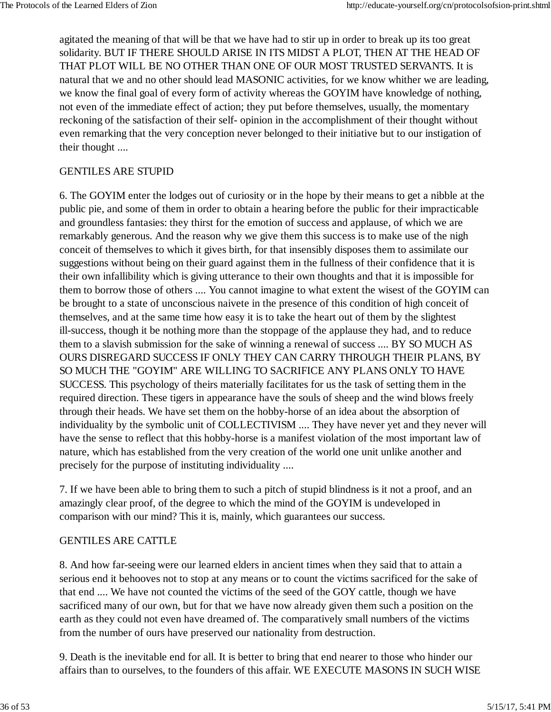agitated the meaning of that will be that we have had to stir up in order to break up its too great solidarity. BUT IF THERE SHOULD ARISE IN ITS MIDST A PLOT, THEN AT THE HEAD OF THAT PLOT WILL BE NO OTHER THAN ONE OF OUR MOST TRUSTED SERVANTS. It is natural that we and no other should lead MASONIC activities, for we know whither we are leading, we know the final goal of every form of activity whereas the GOYIM have knowledge of nothing, not even of the immediate effect of action; they put before themselves, usually, the momentary reckoning of the satisfaction of their self- opinion in the accomplishment of their thought without even remarking that the very conception never belonged to their initiative but to our instigation of their thought ....

## GENTILES ARE STUPID

6. The GOYIM enter the lodges out of curiosity or in the hope by their means to get a nibble at the public pie, and some of them in order to obtain a hearing before the public for their impracticable and groundless fantasies: they thirst for the emotion of success and applause, of which we are remarkably generous. And the reason why we give them this success is to make use of the nigh conceit of themselves to which it gives birth, for that insensibly disposes them to assimilate our suggestions without being on their guard against them in the fullness of their confidence that it is their own infallibility which is giving utterance to their own thoughts and that it is impossible for them to borrow those of others .... You cannot imagine to what extent the wisest of the GOYIM can be brought to a state of unconscious naivete in the presence of this condition of high conceit of themselves, and at the same time how easy it is to take the heart out of them by the slightest ill-success, though it be nothing more than the stoppage of the applause they had, and to reduce them to a slavish submission for the sake of winning a renewal of success .... BY SO MUCH AS OURS DISREGARD SUCCESS IF ONLY THEY CAN CARRY THROUGH THEIR PLANS, BY SO MUCH THE "GOYIM" ARE WILLING TO SACRIFICE ANY PLANS ONLY TO HAVE SUCCESS. This psychology of theirs materially facilitates for us the task of setting them in the required direction. These tigers in appearance have the souls of sheep and the wind blows freely through their heads. We have set them on the hobby-horse of an idea about the absorption of individuality by the symbolic unit of COLLECTIVISM .... They have never yet and they never will have the sense to reflect that this hobby-horse is a manifest violation of the most important law of nature, which has established from the very creation of the world one unit unlike another and precisely for the purpose of instituting individuality ....

7. If we have been able to bring them to such a pitch of stupid blindness is it not a proof, and an amazingly clear proof, of the degree to which the mind of the GOYIM is undeveloped in comparison with our mind? This it is, mainly, which guarantees our success.

### GENTILES ARE CATTLE

8. And how far-seeing were our learned elders in ancient times when they said that to attain a serious end it behooves not to stop at any means or to count the victims sacrificed for the sake of that end .... We have not counted the victims of the seed of the GOY cattle, though we have sacrificed many of our own, but for that we have now already given them such a position on the earth as they could not even have dreamed of. The comparatively small numbers of the victims from the number of ours have preserved our nationality from destruction.

9. Death is the inevitable end for all. It is better to bring that end nearer to those who hinder our affairs than to ourselves, to the founders of this affair. WE EXECUTE MASONS IN SUCH WISE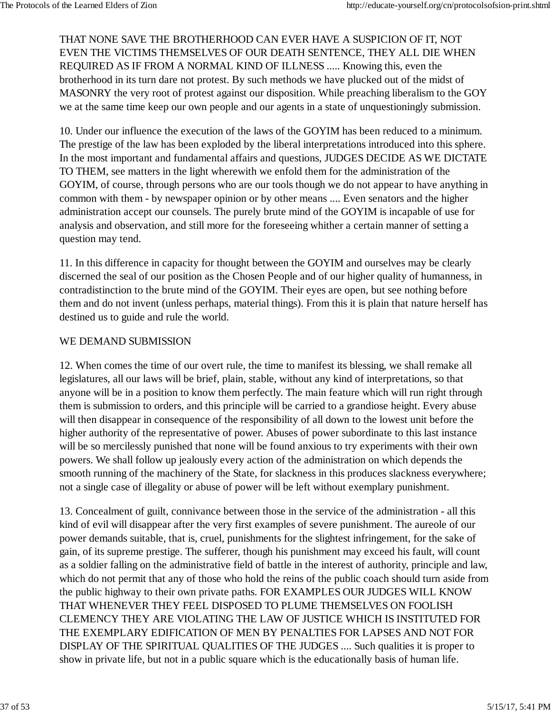THAT NONE SAVE THE BROTHERHOOD CAN EVER HAVE A SUSPICION OF IT, NOT EVEN THE VICTIMS THEMSELVES OF OUR DEATH SENTENCE, THEY ALL DIE WHEN REQUIRED AS IF FROM A NORMAL KIND OF ILLNESS ..... Knowing this, even the brotherhood in its turn dare not protest. By such methods we have plucked out of the midst of MASONRY the very root of protest against our disposition. While preaching liberalism to the GOY we at the same time keep our own people and our agents in a state of unquestioningly submission.

10. Under our influence the execution of the laws of the GOYIM has been reduced to a minimum. The prestige of the law has been exploded by the liberal interpretations introduced into this sphere. In the most important and fundamental affairs and questions, JUDGES DECIDE AS WE DICTATE TO THEM, see matters in the light wherewith we enfold them for the administration of the GOYIM, of course, through persons who are our tools though we do not appear to have anything in common with them - by newspaper opinion or by other means .... Even senators and the higher administration accept our counsels. The purely brute mind of the GOYIM is incapable of use for analysis and observation, and still more for the foreseeing whither a certain manner of setting a question may tend.

11. In this difference in capacity for thought between the GOYIM and ourselves may be clearly discerned the seal of our position as the Chosen People and of our higher quality of humanness, in contradistinction to the brute mind of the GOYIM. Their eyes are open, but see nothing before them and do not invent (unless perhaps, material things). From this it is plain that nature herself has destined us to guide and rule the world.

## WE DEMAND SUBMISSION

12. When comes the time of our overt rule, the time to manifest its blessing, we shall remake all legislatures, all our laws will be brief, plain, stable, without any kind of interpretations, so that anyone will be in a position to know them perfectly. The main feature which will run right through them is submission to orders, and this principle will be carried to a grandiose height. Every abuse will then disappear in consequence of the responsibility of all down to the lowest unit before the higher authority of the representative of power. Abuses of power subordinate to this last instance will be so mercilessly punished that none will be found anxious to try experiments with their own powers. We shall follow up jealously every action of the administration on which depends the smooth running of the machinery of the State, for slackness in this produces slackness everywhere; not a single case of illegality or abuse of power will be left without exemplary punishment.

13. Concealment of guilt, connivance between those in the service of the administration - all this kind of evil will disappear after the very first examples of severe punishment. The aureole of our power demands suitable, that is, cruel, punishments for the slightest infringement, for the sake of gain, of its supreme prestige. The sufferer, though his punishment may exceed his fault, will count as a soldier falling on the administrative field of battle in the interest of authority, principle and law, which do not permit that any of those who hold the reins of the public coach should turn aside from the public highway to their own private paths. FOR EXAMPLES OUR JUDGES WILL KNOW THAT WHENEVER THEY FEEL DISPOSED TO PLUME THEMSELVES ON FOOLISH CLEMENCY THEY ARE VIOLATING THE LAW OF JUSTICE WHICH IS INSTITUTED FOR THE EXEMPLARY EDIFICATION OF MEN BY PENALTIES FOR LAPSES AND NOT FOR DISPLAY OF THE SPIRITUAL QUALITIES OF THE JUDGES .... Such qualities it is proper to show in private life, but not in a public square which is the educationally basis of human life.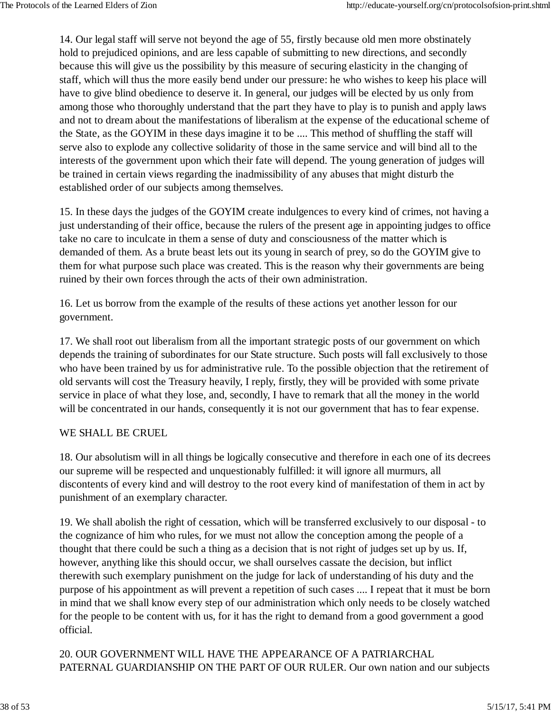14. Our legal staff will serve not beyond the age of 55, firstly because old men more obstinately hold to prejudiced opinions, and are less capable of submitting to new directions, and secondly because this will give us the possibility by this measure of securing elasticity in the changing of staff, which will thus the more easily bend under our pressure: he who wishes to keep his place will have to give blind obedience to deserve it. In general, our judges will be elected by us only from among those who thoroughly understand that the part they have to play is to punish and apply laws and not to dream about the manifestations of liberalism at the expense of the educational scheme of the State, as the GOYIM in these days imagine it to be .... This method of shuffling the staff will serve also to explode any collective solidarity of those in the same service and will bind all to the interests of the government upon which their fate will depend. The young generation of judges will be trained in certain views regarding the inadmissibility of any abuses that might disturb the established order of our subjects among themselves.

15. In these days the judges of the GOYIM create indulgences to every kind of crimes, not having a just understanding of their office, because the rulers of the present age in appointing judges to office take no care to inculcate in them a sense of duty and consciousness of the matter which is demanded of them. As a brute beast lets out its young in search of prey, so do the GOYIM give to them for what purpose such place was created. This is the reason why their governments are being ruined by their own forces through the acts of their own administration.

16. Let us borrow from the example of the results of these actions yet another lesson for our government.

17. We shall root out liberalism from all the important strategic posts of our government on which depends the training of subordinates for our State structure. Such posts will fall exclusively to those who have been trained by us for administrative rule. To the possible objection that the retirement of old servants will cost the Treasury heavily, I reply, firstly, they will be provided with some private service in place of what they lose, and, secondly, I have to remark that all the money in the world will be concentrated in our hands, consequently it is not our government that has to fear expense.

#### WE SHALL BE CRUEL

18. Our absolutism will in all things be logically consecutive and therefore in each one of its decrees our supreme will be respected and unquestionably fulfilled: it will ignore all murmurs, all discontents of every kind and will destroy to the root every kind of manifestation of them in act by punishment of an exemplary character.

19. We shall abolish the right of cessation, which will be transferred exclusively to our disposal - to the cognizance of him who rules, for we must not allow the conception among the people of a thought that there could be such a thing as a decision that is not right of judges set up by us. If, however, anything like this should occur, we shall ourselves cassate the decision, but inflict therewith such exemplary punishment on the judge for lack of understanding of his duty and the purpose of his appointment as will prevent a repetition of such cases .... I repeat that it must be born in mind that we shall know every step of our administration which only needs to be closely watched for the people to be content with us, for it has the right to demand from a good government a good official.

## 20. OUR GOVERNMENT WILL HAVE THE APPEARANCE OF A PATRIARCHAL PATERNAL GUARDIANSHIP ON THE PART OF OUR RULER. Our own nation and our subjects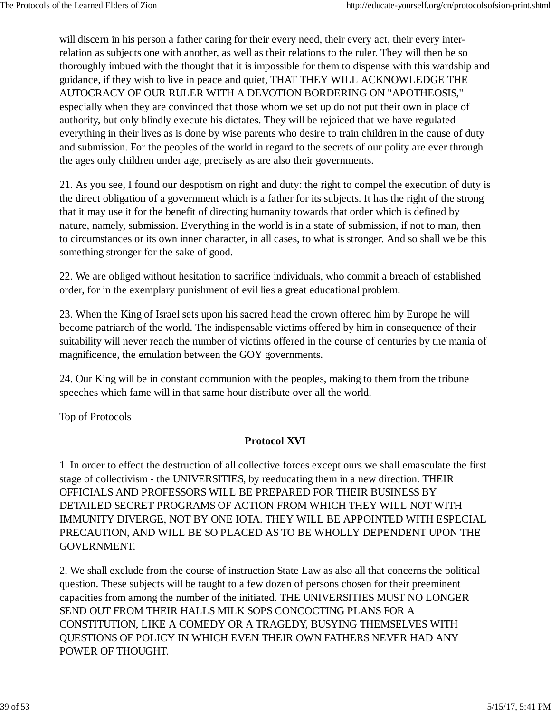will discern in his person a father caring for their every need, their every act, their every interrelation as subjects one with another, as well as their relations to the ruler. They will then be so thoroughly imbued with the thought that it is impossible for them to dispense with this wardship and guidance, if they wish to live in peace and quiet, THAT THEY WILL ACKNOWLEDGE THE AUTOCRACY OF OUR RULER WITH A DEVOTION BORDERING ON "APOTHEOSIS," especially when they are convinced that those whom we set up do not put their own in place of authority, but only blindly execute his dictates. They will be rejoiced that we have regulated everything in their lives as is done by wise parents who desire to train children in the cause of duty and submission. For the peoples of the world in regard to the secrets of our polity are ever through the ages only children under age, precisely as are also their governments.

21. As you see, I found our despotism on right and duty: the right to compel the execution of duty is the direct obligation of a government which is a father for its subjects. It has the right of the strong that it may use it for the benefit of directing humanity towards that order which is defined by nature, namely, submission. Everything in the world is in a state of submission, if not to man, then to circumstances or its own inner character, in all cases, to what is stronger. And so shall we be this something stronger for the sake of good.

22. We are obliged without hesitation to sacrifice individuals, who commit a breach of established order, for in the exemplary punishment of evil lies a great educational problem.

23. When the King of Israel sets upon his sacred head the crown offered him by Europe he will become patriarch of the world. The indispensable victims offered by him in consequence of their suitability will never reach the number of victims offered in the course of centuries by the mania of magnificence, the emulation between the GOY governments.

24. Our King will be in constant communion with the peoples, making to them from the tribune speeches which fame will in that same hour distribute over all the world.

Top of Protocols

## **Protocol XVI**

1. In order to effect the destruction of all collective forces except ours we shall emasculate the first stage of collectivism - the UNIVERSITIES, by reeducating them in a new direction. THEIR OFFICIALS AND PROFESSORS WILL BE PREPARED FOR THEIR BUSINESS BY DETAILED SECRET PROGRAMS OF ACTION FROM WHICH THEY WILL NOT WITH IMMUNITY DIVERGE, NOT BY ONE IOTA. THEY WILL BE APPOINTED WITH ESPECIAL PRECAUTION, AND WILL BE SO PLACED AS TO BE WHOLLY DEPENDENT UPON THE GOVERNMENT.

2. We shall exclude from the course of instruction State Law as also all that concerns the political question. These subjects will be taught to a few dozen of persons chosen for their preeminent capacities from among the number of the initiated. THE UNIVERSITIES MUST NO LONGER SEND OUT FROM THEIR HALLS MILK SOPS CONCOCTING PLANS FOR A CONSTITUTION, LIKE A COMEDY OR A TRAGEDY, BUSYING THEMSELVES WITH QUESTIONS OF POLICY IN WHICH EVEN THEIR OWN FATHERS NEVER HAD ANY POWER OF THOUGHT.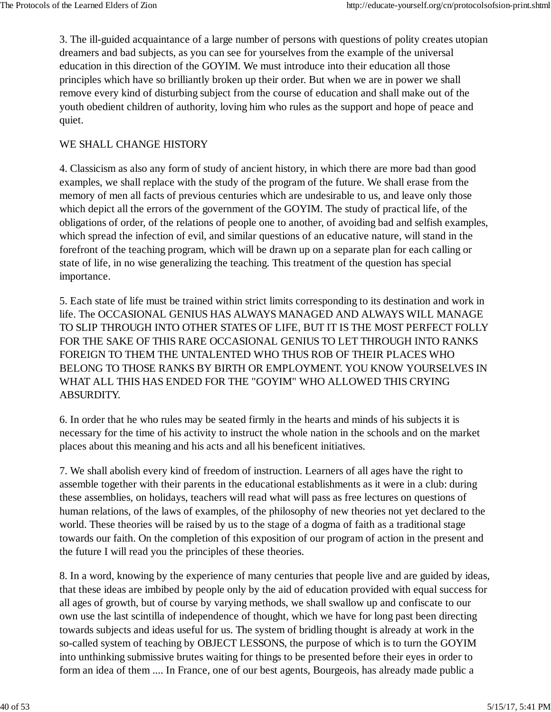3. The ill-guided acquaintance of a large number of persons with questions of polity creates utopian dreamers and bad subjects, as you can see for yourselves from the example of the universal education in this direction of the GOYIM. We must introduce into their education all those principles which have so brilliantly broken up their order. But when we are in power we shall remove every kind of disturbing subject from the course of education and shall make out of the youth obedient children of authority, loving him who rules as the support and hope of peace and quiet.

### WE SHALL CHANGE HISTORY

4. Classicism as also any form of study of ancient history, in which there are more bad than good examples, we shall replace with the study of the program of the future. We shall erase from the memory of men all facts of previous centuries which are undesirable to us, and leave only those which depict all the errors of the government of the GOYIM. The study of practical life, of the obligations of order, of the relations of people one to another, of avoiding bad and selfish examples, which spread the infection of evil, and similar questions of an educative nature, will stand in the forefront of the teaching program, which will be drawn up on a separate plan for each calling or state of life, in no wise generalizing the teaching. This treatment of the question has special importance.

5. Each state of life must be trained within strict limits corresponding to its destination and work in life. The OCCASIONAL GENIUS HAS ALWAYS MANAGED AND ALWAYS WILL MANAGE TO SLIP THROUGH INTO OTHER STATES OF LIFE, BUT IT IS THE MOST PERFECT FOLLY FOR THE SAKE OF THIS RARE OCCASIONAL GENIUS TO LET THROUGH INTO RANKS FOREIGN TO THEM THE UNTALENTED WHO THUS ROB OF THEIR PLACES WHO BELONG TO THOSE RANKS BY BIRTH OR EMPLOYMENT. YOU KNOW YOURSELVES IN WHAT ALL THIS HAS ENDED FOR THE "GOYIM" WHO ALLOWED THIS CRYING ABSURDITY.

6. In order that he who rules may be seated firmly in the hearts and minds of his subjects it is necessary for the time of his activity to instruct the whole nation in the schools and on the market places about this meaning and his acts and all his beneficent initiatives.

7. We shall abolish every kind of freedom of instruction. Learners of all ages have the right to assemble together with their parents in the educational establishments as it were in a club: during these assemblies, on holidays, teachers will read what will pass as free lectures on questions of human relations, of the laws of examples, of the philosophy of new theories not yet declared to the world. These theories will be raised by us to the stage of a dogma of faith as a traditional stage towards our faith. On the completion of this exposition of our program of action in the present and the future I will read you the principles of these theories.

8. In a word, knowing by the experience of many centuries that people live and are guided by ideas, that these ideas are imbibed by people only by the aid of education provided with equal success for all ages of growth, but of course by varying methods, we shall swallow up and confiscate to our own use the last scintilla of independence of thought, which we have for long past been directing towards subjects and ideas useful for us. The system of bridling thought is already at work in the so-called system of teaching by OBJECT LESSONS, the purpose of which is to turn the GOYIM into unthinking submissive brutes waiting for things to be presented before their eyes in order to form an idea of them .... In France, one of our best agents, Bourgeois, has already made public a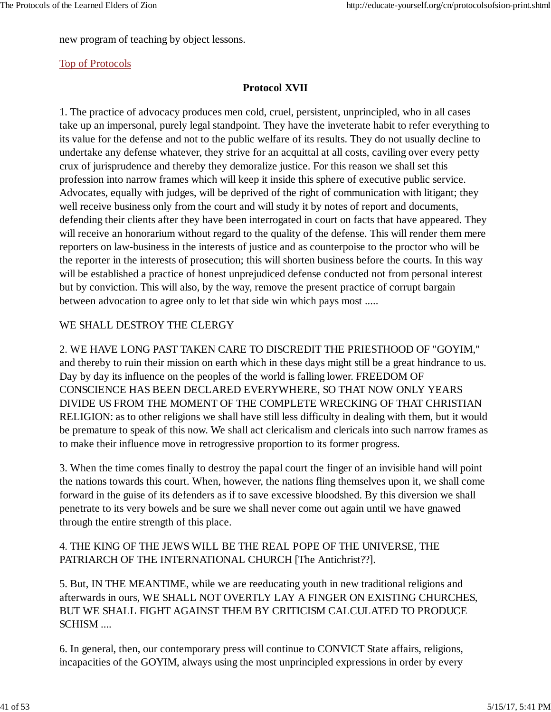new program of teaching by object lessons.

#### Top of Protocols

#### **Protocol XVII**

1. The practice of advocacy produces men cold, cruel, persistent, unprincipled, who in all cases take up an impersonal, purely legal standpoint. They have the inveterate habit to refer everything to its value for the defense and not to the public welfare of its results. They do not usually decline to undertake any defense whatever, they strive for an acquittal at all costs, caviling over every petty crux of jurisprudence and thereby they demoralize justice. For this reason we shall set this profession into narrow frames which will keep it inside this sphere of executive public service. Advocates, equally with judges, will be deprived of the right of communication with litigant; they well receive business only from the court and will study it by notes of report and documents, defending their clients after they have been interrogated in court on facts that have appeared. They will receive an honorarium without regard to the quality of the defense. This will render them mere reporters on law-business in the interests of justice and as counterpoise to the proctor who will be the reporter in the interests of prosecution; this will shorten business before the courts. In this way will be established a practice of honest unprejudiced defense conducted not from personal interest but by conviction. This will also, by the way, remove the present practice of corrupt bargain between advocation to agree only to let that side win which pays most .....

### WE SHALL DESTROY THE CLERGY

2. WE HAVE LONG PAST TAKEN CARE TO DISCREDIT THE PRIESTHOOD OF "GOYIM," and thereby to ruin their mission on earth which in these days might still be a great hindrance to us. Day by day its influence on the peoples of the world is falling lower. FREEDOM OF CONSCIENCE HAS BEEN DECLARED EVERYWHERE, SO THAT NOW ONLY YEARS DIVIDE US FROM THE MOMENT OF THE COMPLETE WRECKING OF THAT CHRISTIAN RELIGION: as to other religions we shall have still less difficulty in dealing with them, but it would be premature to speak of this now. We shall act clericalism and clericals into such narrow frames as to make their influence move in retrogressive proportion to its former progress.

3. When the time comes finally to destroy the papal court the finger of an invisible hand will point the nations towards this court. When, however, the nations fling themselves upon it, we shall come forward in the guise of its defenders as if to save excessive bloodshed. By this diversion we shall penetrate to its very bowels and be sure we shall never come out again until we have gnawed through the entire strength of this place.

## 4. THE KING OF THE JEWS WILL BE THE REAL POPE OF THE UNIVERSE, THE PATRIARCH OF THE INTERNATIONAL CHURCH [The Antichrist??].

5. But, IN THE MEANTIME, while we are reeducating youth in new traditional religions and afterwards in ours, WE SHALL NOT OVERTLY LAY A FINGER ON EXISTING CHURCHES, BUT WE SHALL FIGHT AGAINST THEM BY CRITICISM CALCULATED TO PRODUCE SCHISM ....

6. In general, then, our contemporary press will continue to CONVICT State affairs, religions, incapacities of the GOYIM, always using the most unprincipled expressions in order by every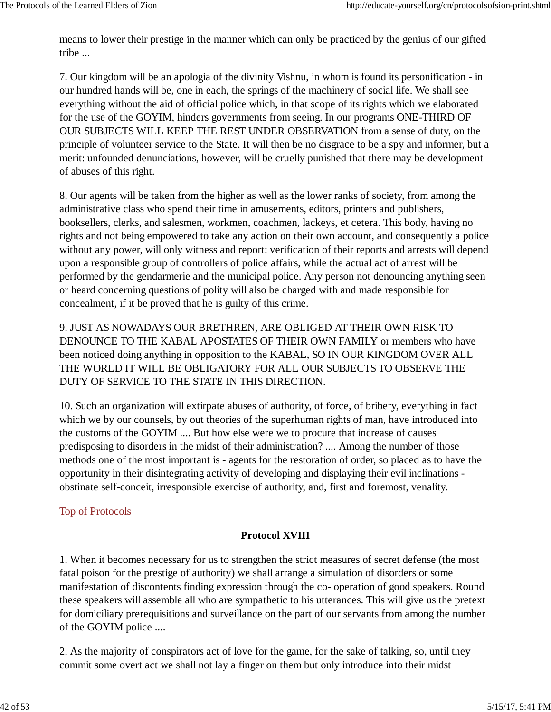means to lower their prestige in the manner which can only be practiced by the genius of our gifted tribe ...

7. Our kingdom will be an apologia of the divinity Vishnu, in whom is found its personification - in our hundred hands will be, one in each, the springs of the machinery of social life. We shall see everything without the aid of official police which, in that scope of its rights which we elaborated for the use of the GOYIM, hinders governments from seeing. In our programs ONE-THIRD OF OUR SUBJECTS WILL KEEP THE REST UNDER OBSERVATION from a sense of duty, on the principle of volunteer service to the State. It will then be no disgrace to be a spy and informer, but a merit: unfounded denunciations, however, will be cruelly punished that there may be development of abuses of this right.

8. Our agents will be taken from the higher as well as the lower ranks of society, from among the administrative class who spend their time in amusements, editors, printers and publishers, booksellers, clerks, and salesmen, workmen, coachmen, lackeys, et cetera. This body, having no rights and not being empowered to take any action on their own account, and consequently a police without any power, will only witness and report: verification of their reports and arrests will depend upon a responsible group of controllers of police affairs, while the actual act of arrest will be performed by the gendarmerie and the municipal police. Any person not denouncing anything seen or heard concerning questions of polity will also be charged with and made responsible for concealment, if it be proved that he is guilty of this crime.

9. JUST AS NOWADAYS OUR BRETHREN, ARE OBLIGED AT THEIR OWN RISK TO DENOUNCE TO THE KABAL APOSTATES OF THEIR OWN FAMILY or members who have been noticed doing anything in opposition to the KABAL, SO IN OUR KINGDOM OVER ALL THE WORLD IT WILL BE OBLIGATORY FOR ALL OUR SUBJECTS TO OBSERVE THE DUTY OF SERVICE TO THE STATE IN THIS DIRECTION.

10. Such an organization will extirpate abuses of authority, of force, of bribery, everything in fact which we by our counsels, by out theories of the superhuman rights of man, have introduced into the customs of the GOYIM .... But how else were we to procure that increase of causes predisposing to disorders in the midst of their administration? .... Among the number of those methods one of the most important is - agents for the restoration of order, so placed as to have the opportunity in their disintegrating activity of developing and displaying their evil inclinations obstinate self-conceit, irresponsible exercise of authority, and, first and foremost, venality.

#### Top of Protocols

#### **Protocol XVIII**

1. When it becomes necessary for us to strengthen the strict measures of secret defense (the most fatal poison for the prestige of authority) we shall arrange a simulation of disorders or some manifestation of discontents finding expression through the co- operation of good speakers. Round these speakers will assemble all who are sympathetic to his utterances. This will give us the pretext for domiciliary prerequisitions and surveillance on the part of our servants from among the number of the GOYIM police ....

2. As the majority of conspirators act of love for the game, for the sake of talking, so, until they commit some overt act we shall not lay a finger on them but only introduce into their midst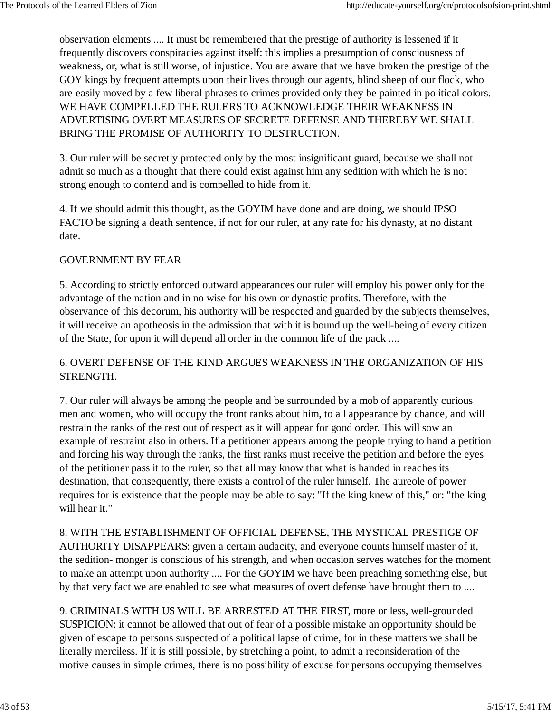observation elements .... It must be remembered that the prestige of authority is lessened if it frequently discovers conspiracies against itself: this implies a presumption of consciousness of weakness, or, what is still worse, of injustice. You are aware that we have broken the prestige of the GOY kings by frequent attempts upon their lives through our agents, blind sheep of our flock, who are easily moved by a few liberal phrases to crimes provided only they be painted in political colors. WE HAVE COMPELLED THE RULERS TO ACKNOWLEDGE THEIR WEAKNESS IN ADVERTISING OVERT MEASURES OF SECRETE DEFENSE AND THEREBY WE SHALL BRING THE PROMISE OF AUTHORITY TO DESTRUCTION.

3. Our ruler will be secretly protected only by the most insignificant guard, because we shall not admit so much as a thought that there could exist against him any sedition with which he is not strong enough to contend and is compelled to hide from it.

4. If we should admit this thought, as the GOYIM have done and are doing, we should IPSO FACTO be signing a death sentence, if not for our ruler, at any rate for his dynasty, at no distant date.

### GOVERNMENT BY FEAR

5. According to strictly enforced outward appearances our ruler will employ his power only for the advantage of the nation and in no wise for his own or dynastic profits. Therefore, with the observance of this decorum, his authority will be respected and guarded by the subjects themselves, it will receive an apotheosis in the admission that with it is bound up the well-being of every citizen of the State, for upon it will depend all order in the common life of the pack ....

## 6. OVERT DEFENSE OF THE KIND ARGUES WEAKNESS IN THE ORGANIZATION OF HIS STRENGTH.

7. Our ruler will always be among the people and be surrounded by a mob of apparently curious men and women, who will occupy the front ranks about him, to all appearance by chance, and will restrain the ranks of the rest out of respect as it will appear for good order. This will sow an example of restraint also in others. If a petitioner appears among the people trying to hand a petition and forcing his way through the ranks, the first ranks must receive the petition and before the eyes of the petitioner pass it to the ruler, so that all may know that what is handed in reaches its destination, that consequently, there exists a control of the ruler himself. The aureole of power requires for is existence that the people may be able to say: "If the king knew of this," or: "the king will hear it."

8. WITH THE ESTABLISHMENT OF OFFICIAL DEFENSE, THE MYSTICAL PRESTIGE OF AUTHORITY DISAPPEARS: given a certain audacity, and everyone counts himself master of it, the sedition- monger is conscious of his strength, and when occasion serves watches for the moment to make an attempt upon authority .... For the GOYIM we have been preaching something else, but by that very fact we are enabled to see what measures of overt defense have brought them to ....

9. CRIMINALS WITH US WILL BE ARRESTED AT THE FIRST, more or less, well-grounded SUSPICION: it cannot be allowed that out of fear of a possible mistake an opportunity should be given of escape to persons suspected of a political lapse of crime, for in these matters we shall be literally merciless. If it is still possible, by stretching a point, to admit a reconsideration of the motive causes in simple crimes, there is no possibility of excuse for persons occupying themselves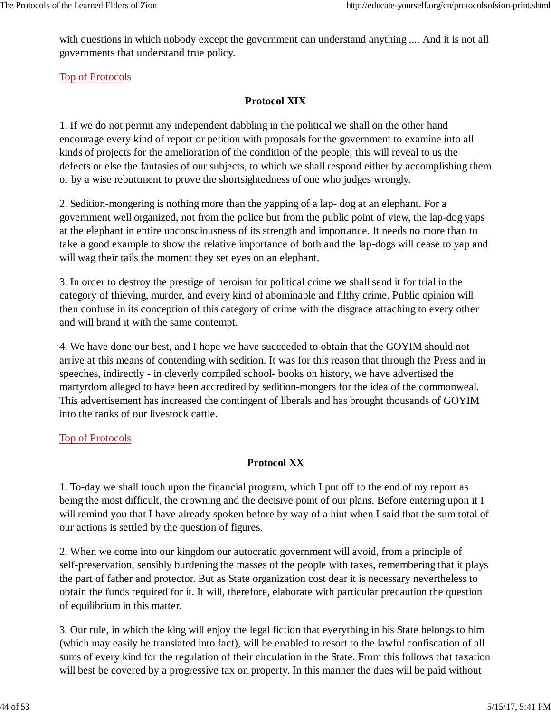with questions in which nobody except the government can understand anything .... And it is not all governments that understand true policy.

#### Top of Protocols

## **Protocol XIX**

1. If we do not permit any independent dabbling in the political we shall on the other hand encourage every kind of report or petition with proposals for the government to examine into all kinds of projects for the amelioration of the condition of the people; this will reveal to us the defects or else the fantasies of our subjects, to which we shall respond either by accomplishing them or by a wise rebuttment to prove the shortsightedness of one who judges wrongly.

2. Sedition-mongering is nothing more than the yapping of a lap- dog at an elephant. For a government well organized, not from the police but from the public point of view, the lap-dog yaps at the elephant in entire unconsciousness of its strength and importance. It needs no more than to take a good example to show the relative importance of both and the lap-dogs will cease to yap and will wag their tails the moment they set eyes on an elephant.

3. In order to destroy the prestige of heroism for political crime we shall send it for trial in the category of thieving, murder, and every kind of abominable and filthy crime. Public opinion will then confuse in its conception of this category of crime with the disgrace attaching to every other and will brand it with the same contempt.

4. We have done our best, and I hope we have succeeded to obtain that the GOYIM should not arrive at this means of contending with sedition. It was for this reason that through the Press and in speeches, indirectly - in cleverly compiled school- books on history, we have advertised the martyrdom alleged to have been accredited by sedition-mongers for the idea of the commonweal. This advertisement has increased the contingent of liberals and has brought thousands of GOYIM into the ranks of our livestock cattle.

## Top of Protocols

## **Protocol XX**

1. To-day we shall touch upon the financial program, which I put off to the end of my report as being the most difficult, the crowning and the decisive point of our plans. Before entering upon it I will remind you that I have already spoken before by way of a hint when I said that the sum total of our actions is settled by the question of figures.

2. When we come into our kingdom our autocratic government will avoid, from a principle of self-preservation, sensibly burdening the masses of the people with taxes, remembering that it plays the part of father and protector. But as State organization cost dear it is necessary nevertheless to obtain the funds required for it. It will, therefore, elaborate with particular precaution the question of equilibrium in this matter.

3. Our rule, in which the king will enjoy the legal fiction that everything in his State belongs to him (which may easily be translated into fact), will be enabled to resort to the lawful confiscation of all sums of every kind for the regulation of their circulation in the State. From this follows that taxation will best be covered by a progressive tax on property. In this manner the dues will be paid without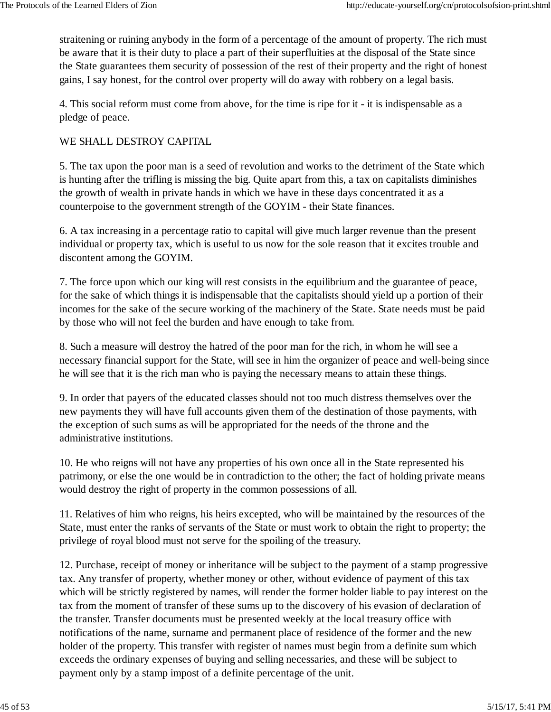straitening or ruining anybody in the form of a percentage of the amount of property. The rich must be aware that it is their duty to place a part of their superfluities at the disposal of the State since the State guarantees them security of possession of the rest of their property and the right of honest gains, I say honest, for the control over property will do away with robbery on a legal basis.

4. This social reform must come from above, for the time is ripe for it - it is indispensable as a pledge of peace.

## WE SHALL DESTROY CAPITAL

5. The tax upon the poor man is a seed of revolution and works to the detriment of the State which is hunting after the trifling is missing the big. Quite apart from this, a tax on capitalists diminishes the growth of wealth in private hands in which we have in these days concentrated it as a counterpoise to the government strength of the GOYIM - their State finances.

6. A tax increasing in a percentage ratio to capital will give much larger revenue than the present individual or property tax, which is useful to us now for the sole reason that it excites trouble and discontent among the GOYIM.

7. The force upon which our king will rest consists in the equilibrium and the guarantee of peace, for the sake of which things it is indispensable that the capitalists should yield up a portion of their incomes for the sake of the secure working of the machinery of the State. State needs must be paid by those who will not feel the burden and have enough to take from.

8. Such a measure will destroy the hatred of the poor man for the rich, in whom he will see a necessary financial support for the State, will see in him the organizer of peace and well-being since he will see that it is the rich man who is paying the necessary means to attain these things.

9. In order that payers of the educated classes should not too much distress themselves over the new payments they will have full accounts given them of the destination of those payments, with the exception of such sums as will be appropriated for the needs of the throne and the administrative institutions.

10. He who reigns will not have any properties of his own once all in the State represented his patrimony, or else the one would be in contradiction to the other; the fact of holding private means would destroy the right of property in the common possessions of all.

11. Relatives of him who reigns, his heirs excepted, who will be maintained by the resources of the State, must enter the ranks of servants of the State or must work to obtain the right to property; the privilege of royal blood must not serve for the spoiling of the treasury.

12. Purchase, receipt of money or inheritance will be subject to the payment of a stamp progressive tax. Any transfer of property, whether money or other, without evidence of payment of this tax which will be strictly registered by names, will render the former holder liable to pay interest on the tax from the moment of transfer of these sums up to the discovery of his evasion of declaration of the transfer. Transfer documents must be presented weekly at the local treasury office with notifications of the name, surname and permanent place of residence of the former and the new holder of the property. This transfer with register of names must begin from a definite sum which exceeds the ordinary expenses of buying and selling necessaries, and these will be subject to payment only by a stamp impost of a definite percentage of the unit.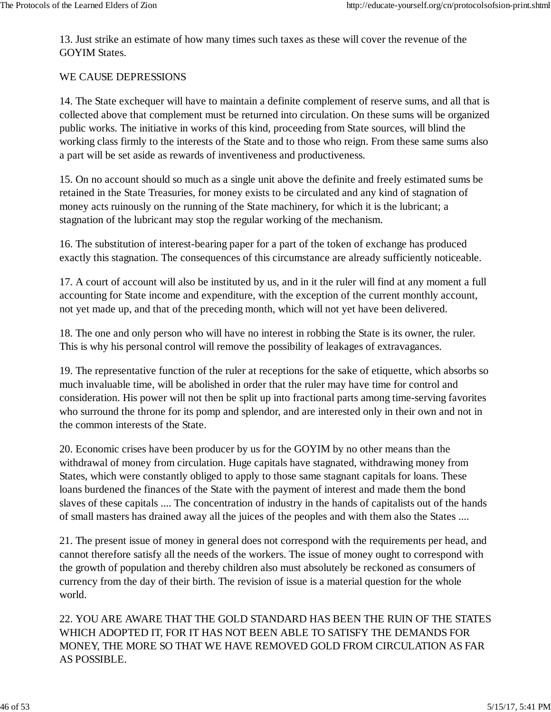13. Just strike an estimate of how many times such taxes as these will cover the revenue of the GOYIM States.

#### WE CAUSE DEPRESSIONS

14. The State exchequer will have to maintain a definite complement of reserve sums, and all that is collected above that complement must be returned into circulation. On these sums will be organized public works. The initiative in works of this kind, proceeding from State sources, will blind the working class firmly to the interests of the State and to those who reign. From these same sums also a part will be set aside as rewards of inventiveness and productiveness.

15. On no account should so much as a single unit above the definite and freely estimated sums be retained in the State Treasuries, for money exists to be circulated and any kind of stagnation of money acts ruinously on the running of the State machinery, for which it is the lubricant; a stagnation of the lubricant may stop the regular working of the mechanism.

16. The substitution of interest-bearing paper for a part of the token of exchange has produced exactly this stagnation. The consequences of this circumstance are already sufficiently noticeable.

17. A court of account will also be instituted by us, and in it the ruler will find at any moment a full accounting for State income and expenditure, with the exception of the current monthly account, not yet made up, and that of the preceding month, which will not yet have been delivered.

18. The one and only person who will have no interest in robbing the State is its owner, the ruler. This is why his personal control will remove the possibility of leakages of extravagances.

19. The representative function of the ruler at receptions for the sake of etiquette, which absorbs so much invaluable time, will be abolished in order that the ruler may have time for control and consideration. His power will not then be split up into fractional parts among time-serving favorites who surround the throne for its pomp and splendor, and are interested only in their own and not in the common interests of the State.

20. Economic crises have been producer by us for the GOYIM by no other means than the withdrawal of money from circulation. Huge capitals have stagnated, withdrawing money from States, which were constantly obliged to apply to those same stagnant capitals for loans. These loans burdened the finances of the State with the payment of interest and made them the bond slaves of these capitals .... The concentration of industry in the hands of capitalists out of the hands of small masters has drained away all the juices of the peoples and with them also the States ....

21. The present issue of money in general does not correspond with the requirements per head, and cannot therefore satisfy all the needs of the workers. The issue of money ought to correspond with the growth of population and thereby children also must absolutely be reckoned as consumers of currency from the day of their birth. The revision of issue is a material question for the whole world.

22. YOU ARE AWARE THAT THE GOLD STANDARD HAS BEEN THE RUIN OF THE STATES WHICH ADOPTED IT, FOR IT HAS NOT BEEN ABLE TO SATISFY THE DEMANDS FOR MONEY, THE MORE SO THAT WE HAVE REMOVED GOLD FROM CIRCULATION AS FAR AS POSSIBLE.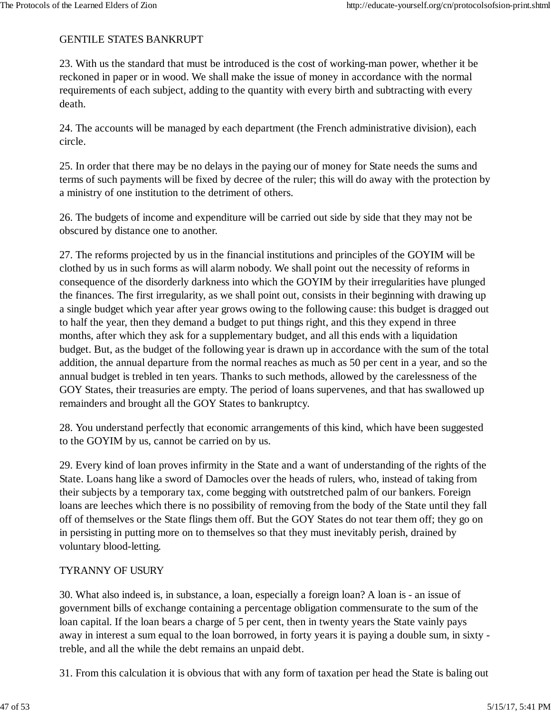## GENTILE STATES BANKRUPT

23. With us the standard that must be introduced is the cost of working-man power, whether it be reckoned in paper or in wood. We shall make the issue of money in accordance with the normal requirements of each subject, adding to the quantity with every birth and subtracting with every death.

24. The accounts will be managed by each department (the French administrative division), each circle.

25. In order that there may be no delays in the paying our of money for State needs the sums and terms of such payments will be fixed by decree of the ruler; this will do away with the protection by a ministry of one institution to the detriment of others.

26. The budgets of income and expenditure will be carried out side by side that they may not be obscured by distance one to another.

27. The reforms projected by us in the financial institutions and principles of the GOYIM will be clothed by us in such forms as will alarm nobody. We shall point out the necessity of reforms in consequence of the disorderly darkness into which the GOYIM by their irregularities have plunged the finances. The first irregularity, as we shall point out, consists in their beginning with drawing up a single budget which year after year grows owing to the following cause: this budget is dragged out to half the year, then they demand a budget to put things right, and this they expend in three months, after which they ask for a supplementary budget, and all this ends with a liquidation budget. But, as the budget of the following year is drawn up in accordance with the sum of the total addition, the annual departure from the normal reaches as much as 50 per cent in a year, and so the annual budget is trebled in ten years. Thanks to such methods, allowed by the carelessness of the GOY States, their treasuries are empty. The period of loans supervenes, and that has swallowed up remainders and brought all the GOY States to bankruptcy.

28. You understand perfectly that economic arrangements of this kind, which have been suggested to the GOYIM by us, cannot be carried on by us.

29. Every kind of loan proves infirmity in the State and a want of understanding of the rights of the State. Loans hang like a sword of Damocles over the heads of rulers, who, instead of taking from their subjects by a temporary tax, come begging with outstretched palm of our bankers. Foreign loans are leeches which there is no possibility of removing from the body of the State until they fall off of themselves or the State flings them off. But the GOY States do not tear them off; they go on in persisting in putting more on to themselves so that they must inevitably perish, drained by voluntary blood-letting.

## TYRANNY OF USURY

30. What also indeed is, in substance, a loan, especially a foreign loan? A loan is - an issue of government bills of exchange containing a percentage obligation commensurate to the sum of the loan capital. If the loan bears a charge of 5 per cent, then in twenty years the State vainly pays away in interest a sum equal to the loan borrowed, in forty years it is paying a double sum, in sixty treble, and all the while the debt remains an unpaid debt.

31. From this calculation it is obvious that with any form of taxation per head the State is baling out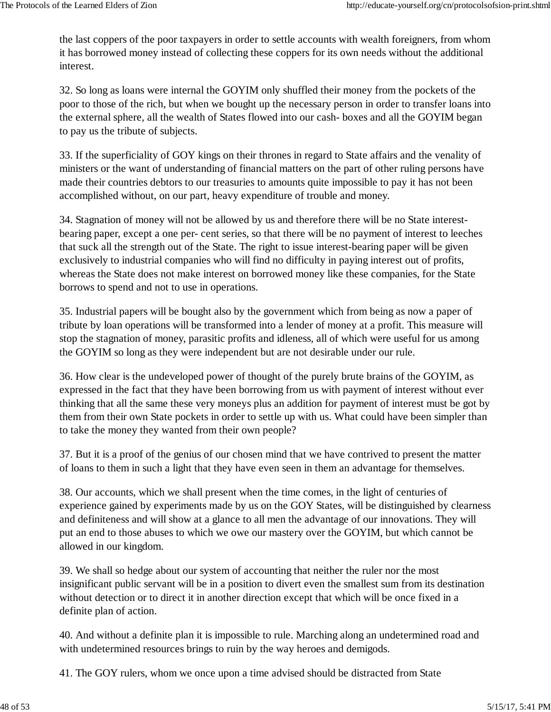the last coppers of the poor taxpayers in order to settle accounts with wealth foreigners, from whom it has borrowed money instead of collecting these coppers for its own needs without the additional interest.

32. So long as loans were internal the GOYIM only shuffled their money from the pockets of the poor to those of the rich, but when we bought up the necessary person in order to transfer loans into the external sphere, all the wealth of States flowed into our cash- boxes and all the GOYIM began to pay us the tribute of subjects.

33. If the superficiality of GOY kings on their thrones in regard to State affairs and the venality of ministers or the want of understanding of financial matters on the part of other ruling persons have made their countries debtors to our treasuries to amounts quite impossible to pay it has not been accomplished without, on our part, heavy expenditure of trouble and money.

34. Stagnation of money will not be allowed by us and therefore there will be no State interestbearing paper, except a one per- cent series, so that there will be no payment of interest to leeches that suck all the strength out of the State. The right to issue interest-bearing paper will be given exclusively to industrial companies who will find no difficulty in paying interest out of profits, whereas the State does not make interest on borrowed money like these companies, for the State borrows to spend and not to use in operations.

35. Industrial papers will be bought also by the government which from being as now a paper of tribute by loan operations will be transformed into a lender of money at a profit. This measure will stop the stagnation of money, parasitic profits and idleness, all of which were useful for us among the GOYIM so long as they were independent but are not desirable under our rule.

36. How clear is the undeveloped power of thought of the purely brute brains of the GOYIM, as expressed in the fact that they have been borrowing from us with payment of interest without ever thinking that all the same these very moneys plus an addition for payment of interest must be got by them from their own State pockets in order to settle up with us. What could have been simpler than to take the money they wanted from their own people?

37. But it is a proof of the genius of our chosen mind that we have contrived to present the matter of loans to them in such a light that they have even seen in them an advantage for themselves.

38. Our accounts, which we shall present when the time comes, in the light of centuries of experience gained by experiments made by us on the GOY States, will be distinguished by clearness and definiteness and will show at a glance to all men the advantage of our innovations. They will put an end to those abuses to which we owe our mastery over the GOYIM, but which cannot be allowed in our kingdom.

39. We shall so hedge about our system of accounting that neither the ruler nor the most insignificant public servant will be in a position to divert even the smallest sum from its destination without detection or to direct it in another direction except that which will be once fixed in a definite plan of action.

40. And without a definite plan it is impossible to rule. Marching along an undetermined road and with undetermined resources brings to ruin by the way heroes and demigods.

41. The GOY rulers, whom we once upon a time advised should be distracted from State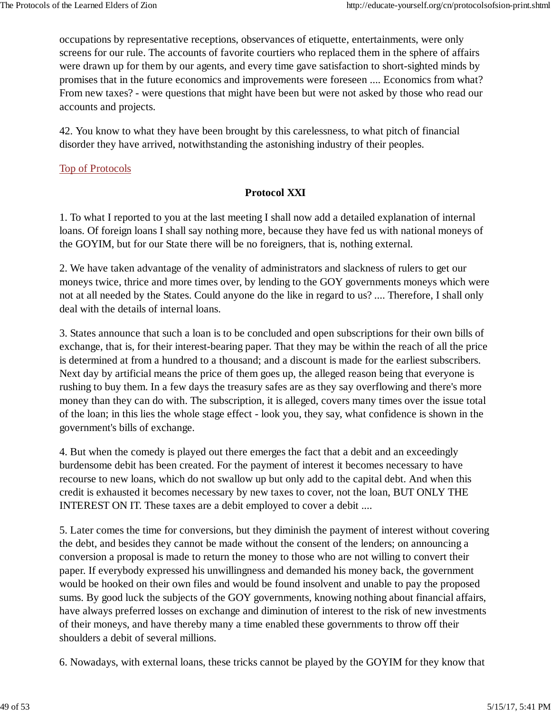occupations by representative receptions, observances of etiquette, entertainments, were only screens for our rule. The accounts of favorite courtiers who replaced them in the sphere of affairs were drawn up for them by our agents, and every time gave satisfaction to short-sighted minds by promises that in the future economics and improvements were foreseen .... Economics from what? From new taxes? - were questions that might have been but were not asked by those who read our accounts and projects.

42. You know to what they have been brought by this carelessness, to what pitch of financial disorder they have arrived, notwithstanding the astonishing industry of their peoples.

## Top of Protocols

## **Protocol XXI**

1. To what I reported to you at the last meeting I shall now add a detailed explanation of internal loans. Of foreign loans I shall say nothing more, because they have fed us with national moneys of the GOYIM, but for our State there will be no foreigners, that is, nothing external.

2. We have taken advantage of the venality of administrators and slackness of rulers to get our moneys twice, thrice and more times over, by lending to the GOY governments moneys which were not at all needed by the States. Could anyone do the like in regard to us? .... Therefore, I shall only deal with the details of internal loans.

3. States announce that such a loan is to be concluded and open subscriptions for their own bills of exchange, that is, for their interest-bearing paper. That they may be within the reach of all the price is determined at from a hundred to a thousand; and a discount is made for the earliest subscribers. Next day by artificial means the price of them goes up, the alleged reason being that everyone is rushing to buy them. In a few days the treasury safes are as they say overflowing and there's more money than they can do with. The subscription, it is alleged, covers many times over the issue total of the loan; in this lies the whole stage effect - look you, they say, what confidence is shown in the government's bills of exchange.

4. But when the comedy is played out there emerges the fact that a debit and an exceedingly burdensome debit has been created. For the payment of interest it becomes necessary to have recourse to new loans, which do not swallow up but only add to the capital debt. And when this credit is exhausted it becomes necessary by new taxes to cover, not the loan, BUT ONLY THE INTEREST ON IT. These taxes are a debit employed to cover a debit ....

5. Later comes the time for conversions, but they diminish the payment of interest without covering the debt, and besides they cannot be made without the consent of the lenders; on announcing a conversion a proposal is made to return the money to those who are not willing to convert their paper. If everybody expressed his unwillingness and demanded his money back, the government would be hooked on their own files and would be found insolvent and unable to pay the proposed sums. By good luck the subjects of the GOY governments, knowing nothing about financial affairs, have always preferred losses on exchange and diminution of interest to the risk of new investments of their moneys, and have thereby many a time enabled these governments to throw off their shoulders a debit of several millions.

6. Nowadays, with external loans, these tricks cannot be played by the GOYIM for they know that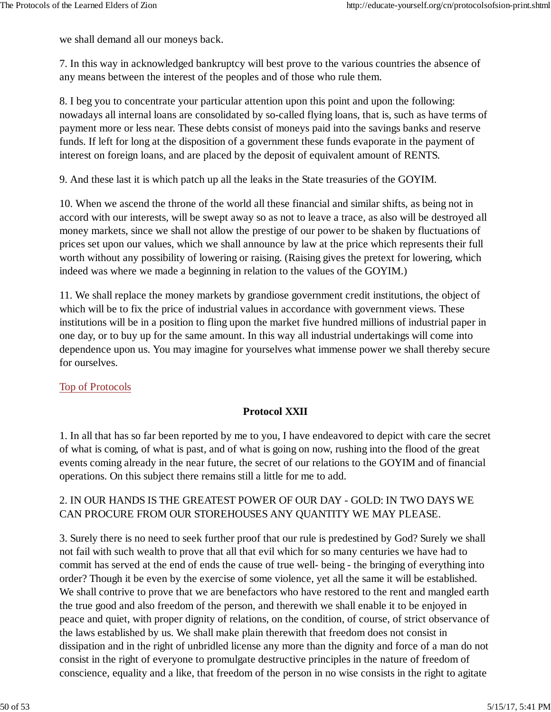we shall demand all our moneys back.

7. In this way in acknowledged bankruptcy will best prove to the various countries the absence of any means between the interest of the peoples and of those who rule them.

8. I beg you to concentrate your particular attention upon this point and upon the following: nowadays all internal loans are consolidated by so-called flying loans, that is, such as have terms of payment more or less near. These debts consist of moneys paid into the savings banks and reserve funds. If left for long at the disposition of a government these funds evaporate in the payment of interest on foreign loans, and are placed by the deposit of equivalent amount of RENTS.

9. And these last it is which patch up all the leaks in the State treasuries of the GOYIM.

10. When we ascend the throne of the world all these financial and similar shifts, as being not in accord with our interests, will be swept away so as not to leave a trace, as also will be destroyed all money markets, since we shall not allow the prestige of our power to be shaken by fluctuations of prices set upon our values, which we shall announce by law at the price which represents their full worth without any possibility of lowering or raising. (Raising gives the pretext for lowering, which indeed was where we made a beginning in relation to the values of the GOYIM.)

11. We shall replace the money markets by grandiose government credit institutions, the object of which will be to fix the price of industrial values in accordance with government views. These institutions will be in a position to fling upon the market five hundred millions of industrial paper in one day, or to buy up for the same amount. In this way all industrial undertakings will come into dependence upon us. You may imagine for yourselves what immense power we shall thereby secure for ourselves.

## Top of Protocols

## **Protocol XXII**

1. In all that has so far been reported by me to you, I have endeavored to depict with care the secret of what is coming, of what is past, and of what is going on now, rushing into the flood of the great events coming already in the near future, the secret of our relations to the GOYIM and of financial operations. On this subject there remains still a little for me to add.

## 2. IN OUR HANDS IS THE GREATEST POWER OF OUR DAY - GOLD: IN TWO DAYS WE CAN PROCURE FROM OUR STOREHOUSES ANY QUANTITY WE MAY PLEASE.

3. Surely there is no need to seek further proof that our rule is predestined by God? Surely we shall not fail with such wealth to prove that all that evil which for so many centuries we have had to commit has served at the end of ends the cause of true well- being - the bringing of everything into order? Though it be even by the exercise of some violence, yet all the same it will be established. We shall contrive to prove that we are benefactors who have restored to the rent and mangled earth the true good and also freedom of the person, and therewith we shall enable it to be enjoyed in peace and quiet, with proper dignity of relations, on the condition, of course, of strict observance of the laws established by us. We shall make plain therewith that freedom does not consist in dissipation and in the right of unbridled license any more than the dignity and force of a man do not consist in the right of everyone to promulgate destructive principles in the nature of freedom of conscience, equality and a like, that freedom of the person in no wise consists in the right to agitate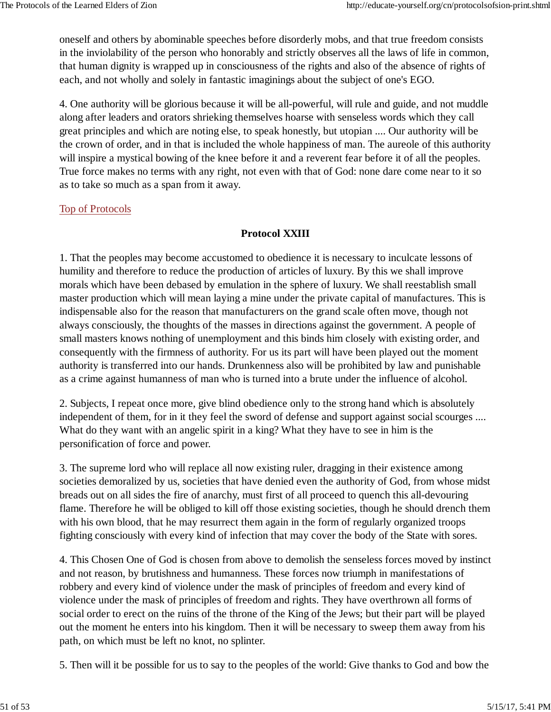oneself and others by abominable speeches before disorderly mobs, and that true freedom consists in the inviolability of the person who honorably and strictly observes all the laws of life in common, that human dignity is wrapped up in consciousness of the rights and also of the absence of rights of each, and not wholly and solely in fantastic imaginings about the subject of one's EGO.

4. One authority will be glorious because it will be all-powerful, will rule and guide, and not muddle along after leaders and orators shrieking themselves hoarse with senseless words which they call great principles and which are noting else, to speak honestly, but utopian .... Our authority will be the crown of order, and in that is included the whole happiness of man. The aureole of this authority will inspire a mystical bowing of the knee before it and a reverent fear before it of all the peoples. True force makes no terms with any right, not even with that of God: none dare come near to it so as to take so much as a span from it away.

#### Top of Protocols

### **Protocol XXIII**

1. That the peoples may become accustomed to obedience it is necessary to inculcate lessons of humility and therefore to reduce the production of articles of luxury. By this we shall improve morals which have been debased by emulation in the sphere of luxury. We shall reestablish small master production which will mean laying a mine under the private capital of manufactures. This is indispensable also for the reason that manufacturers on the grand scale often move, though not always consciously, the thoughts of the masses in directions against the government. A people of small masters knows nothing of unemployment and this binds him closely with existing order, and consequently with the firmness of authority. For us its part will have been played out the moment authority is transferred into our hands. Drunkenness also will be prohibited by law and punishable as a crime against humanness of man who is turned into a brute under the influence of alcohol.

2. Subjects, I repeat once more, give blind obedience only to the strong hand which is absolutely independent of them, for in it they feel the sword of defense and support against social scourges .... What do they want with an angelic spirit in a king? What they have to see in him is the personification of force and power.

3. The supreme lord who will replace all now existing ruler, dragging in their existence among societies demoralized by us, societies that have denied even the authority of God, from whose midst breads out on all sides the fire of anarchy, must first of all proceed to quench this all-devouring flame. Therefore he will be obliged to kill off those existing societies, though he should drench them with his own blood, that he may resurrect them again in the form of regularly organized troops fighting consciously with every kind of infection that may cover the body of the State with sores.

4. This Chosen One of God is chosen from above to demolish the senseless forces moved by instinct and not reason, by brutishness and humanness. These forces now triumph in manifestations of robbery and every kind of violence under the mask of principles of freedom and every kind of violence under the mask of principles of freedom and rights. They have overthrown all forms of social order to erect on the ruins of the throne of the King of the Jews; but their part will be played out the moment he enters into his kingdom. Then it will be necessary to sweep them away from his path, on which must be left no knot, no splinter.

5. Then will it be possible for us to say to the peoples of the world: Give thanks to God and bow the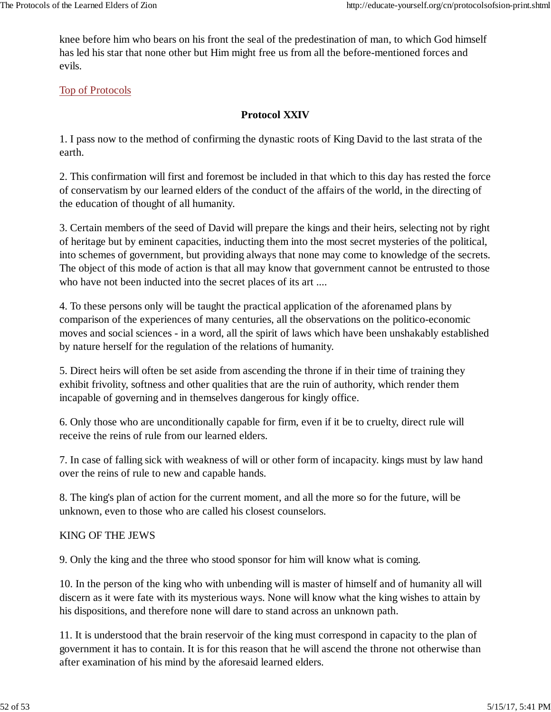knee before him who bears on his front the seal of the predestination of man, to which God himself has led his star that none other but Him might free us from all the before-mentioned forces and evils.

#### Top of Protocols

## **Protocol XXIV**

1. I pass now to the method of confirming the dynastic roots of King David to the last strata of the earth.

2. This confirmation will first and foremost be included in that which to this day has rested the force of conservatism by our learned elders of the conduct of the affairs of the world, in the directing of the education of thought of all humanity.

3. Certain members of the seed of David will prepare the kings and their heirs, selecting not by right of heritage but by eminent capacities, inducting them into the most secret mysteries of the political, into schemes of government, but providing always that none may come to knowledge of the secrets. The object of this mode of action is that all may know that government cannot be entrusted to those who have not been inducted into the secret places of its art ....

4. To these persons only will be taught the practical application of the aforenamed plans by comparison of the experiences of many centuries, all the observations on the politico-economic moves and social sciences - in a word, all the spirit of laws which have been unshakably established by nature herself for the regulation of the relations of humanity.

5. Direct heirs will often be set aside from ascending the throne if in their time of training they exhibit frivolity, softness and other qualities that are the ruin of authority, which render them incapable of governing and in themselves dangerous for kingly office.

6. Only those who are unconditionally capable for firm, even if it be to cruelty, direct rule will receive the reins of rule from our learned elders.

7. In case of falling sick with weakness of will or other form of incapacity. kings must by law hand over the reins of rule to new and capable hands.

8. The king's plan of action for the current moment, and all the more so for the future, will be unknown, even to those who are called his closest counselors.

#### KING OF THE JEWS

9. Only the king and the three who stood sponsor for him will know what is coming.

10. In the person of the king who with unbending will is master of himself and of humanity all will discern as it were fate with its mysterious ways. None will know what the king wishes to attain by his dispositions, and therefore none will dare to stand across an unknown path.

11. It is understood that the brain reservoir of the king must correspond in capacity to the plan of government it has to contain. It is for this reason that he will ascend the throne not otherwise than after examination of his mind by the aforesaid learned elders.